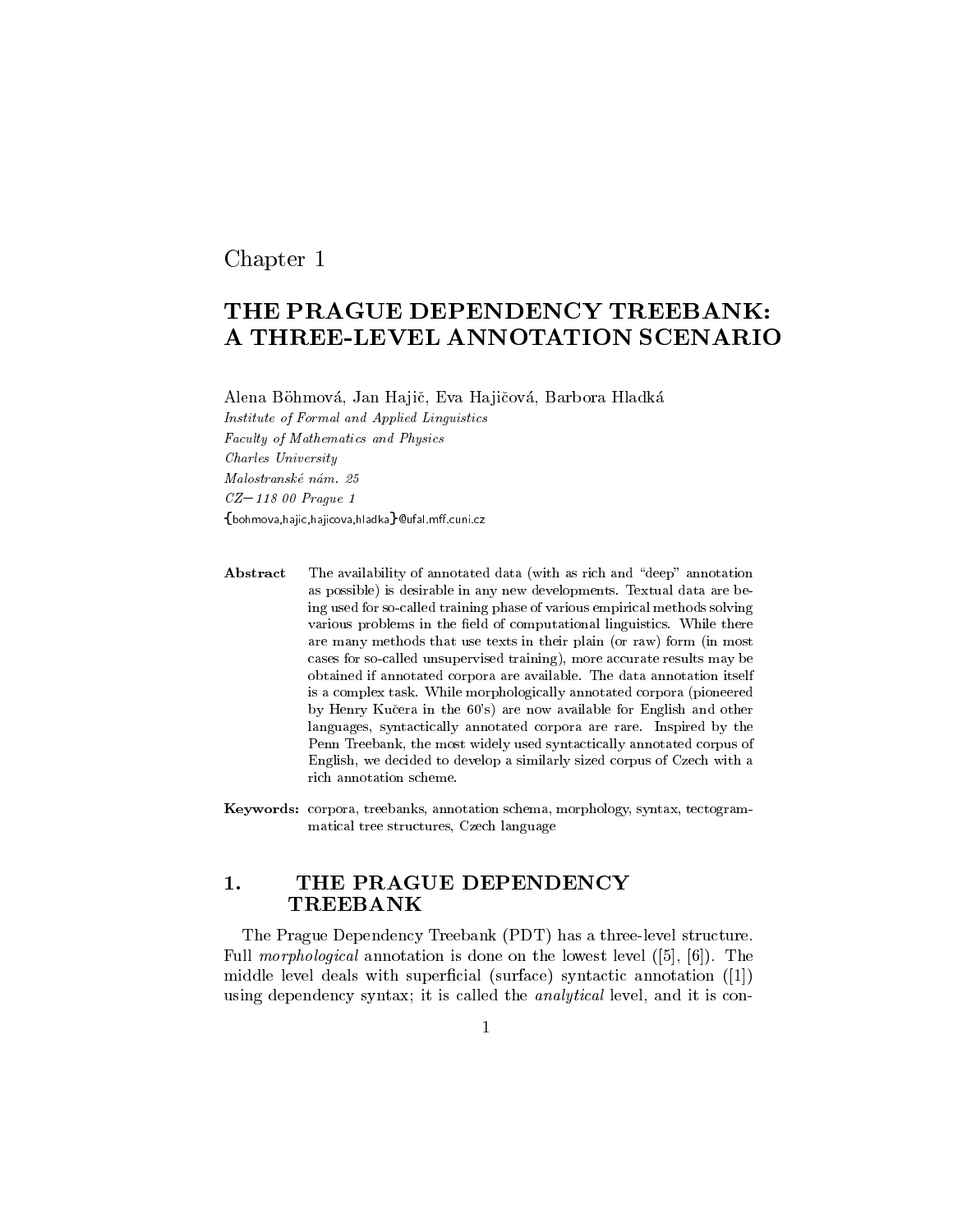# Chapter <sup>1</sup>

# THE PRAGUE DEPENDENCY TREEBANK: A THREE-LEVEL ANNOTATION SCENARIO

Alena Böhmová, Jan Hajič, Eva Hajičová, Barbora Hladká

Institute of Formal and Applied Linguistics Faculty of Mathematics and Physics Charles University Malostranské nám. 25  $CZ - 118$  00 Praque 1  $\{$ bohmova,hajic,hajicova,hladka $\}$ @ufal.mff.cuni.cz

- Abstract The availability of annotated data (with as rich and "deep" annotation as possible) is desirable in any new developments. Textual data are being used for so-called training phase of various empirical methods solving various problems in the field of computational linguistics. While there are many methods that use texts in their plain (or raw) form (in most cases for so-called unsupervised training), more accurate results may be obtained if annotated corpora are available. The data annotation itself is a complex task. While morphologically annotated corpora (pioneered by Henry Kucera in the 60's) are now available for English and other languages, syntactically annotated corpora are rare. Inspired by the Penn Treebank, the most widely used syntactically annotated corpus of English, we decided to develop a similarly sized corpus of Czech with a rich annotation scheme.
- Keywords: corpora, treebanks, annotation schema, morphology, syntax, tectogrammatical tree structures, Czech language

#### THE PRAGUE DEPENDENCY  $1.$ TREEBANK

The Prague Dependency Treebank (PDT) has a three-level structure. Full morphological annotation is done on the lowest level ([5], [6]). The middle level deals with superficial (surface) syntactic annotation  $([1])$ using dependency syntax; it is called the *analytical* level, and it is con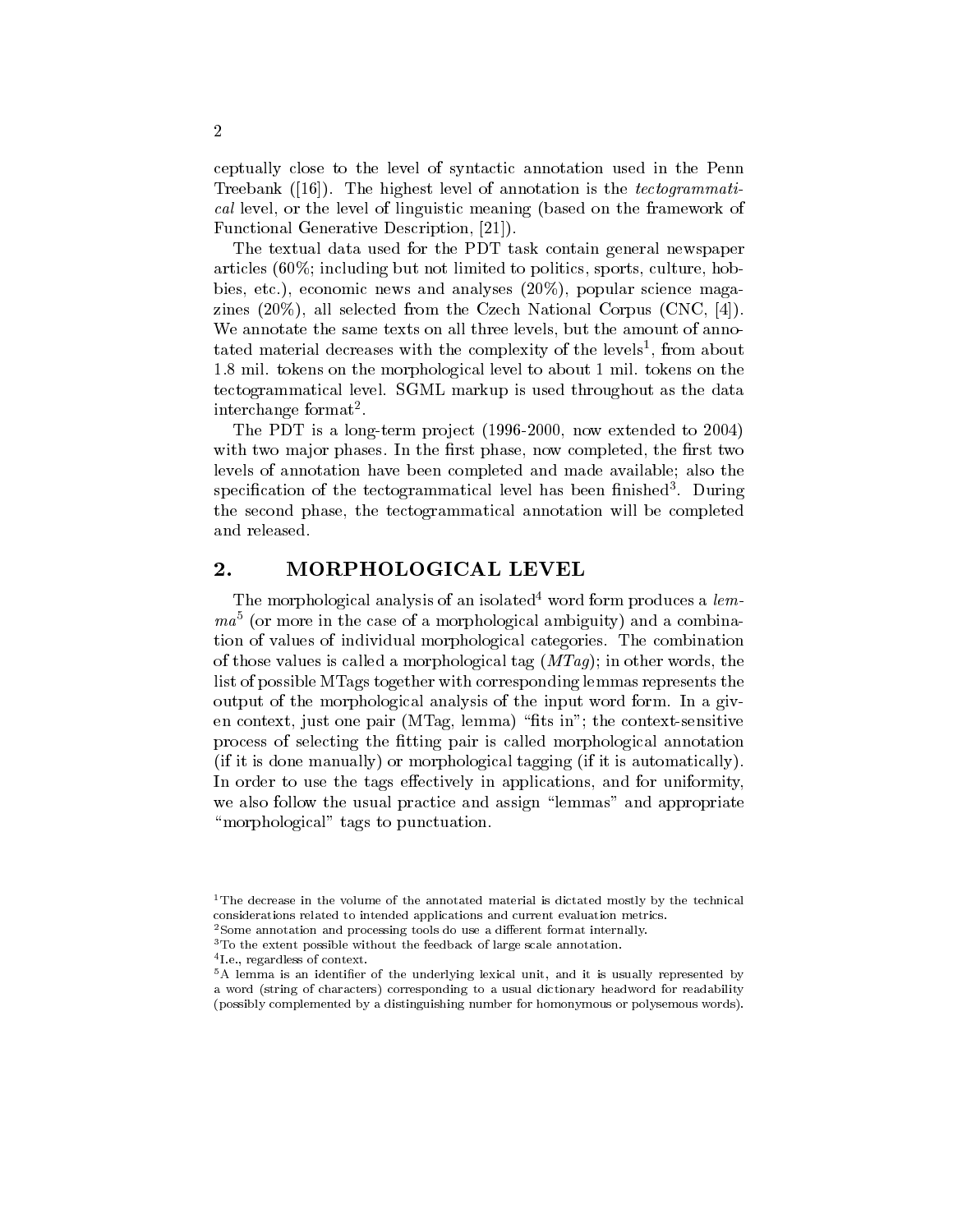ceptually close to the level of syntactic annotation used in the Penn Treebank ([16]). The highest level of annotation is the tectogrammatical level, or the level of linguistic meaning (based on the framework of Functional Generative Description, [21]).

The textual data used for the PDT task contain general newspaper articles (60%; including but not limited to politics, sports, culture, hobbies, etc.), economic news and analyses (20%), popular science magazines (20%), all selected from the Czech National Corpus (CNC, [4]). We annotate the same texts on all three levels, but the amount of annotated material decreases with the complexity of the levels<sup>-</sup>, from about 1.8 mil. tokens on the morphological level to about 1 mil. tokens on the tectogrammatical level. SGML markup is used throughout as the data interchange format<sup>2</sup>.

The PDT is a long-term project (1996-2000, now extended to 2004) with two major phases. In the first phase, now completed, the first two levels of annotation have been completed and made available; also the specincation of the tectogrammatical level has been infished . During the second phase, the tectogrammatical annotation will be completed and released.

#### $2.$ MORPHOLOGICAL LEVEL

The morphological analysis of an isolated<sup>4</sup> word form produces a *lem* $ma<sup>+</sup>$  (or more in the case of a morphological ambiguity) and a combination of values of individual morphological categories. The combination of those values is called a morphological tag  $(MTaq)$ ; in other words, the list of possible MTags together with corresponding lemmas represents the output of the morphological analysis of the input word form. In a given context, just one pair  $(MTag, lemma)$  "fits in"; the context-sensitive process of selecting the fitting pair is called morphological annotation (if it is done manually) or morphological tagging (if it is automatically). In order to use the tags effectively in applications, and for uniformity, we also follow the usual practice and assign "lemmas" and appropriate "morphological" tags to punctuation.

<sup>3</sup>To the extent possible without the feedback of large scale annotation.

<sup>&</sup>lt;sup>1</sup>The decrease in the volume of the annotated material is dictated mostly by the technical considerations related to intended applications and current evaluation metrics.

 $^2$ Some annotation and processing tools do use a different format internally.

<sup>4</sup> I.e., regardless of context.

<sup>&</sup>lt;sup>5</sup>A lemma is an identifier of the underlying lexical unit, and it is usually represented by a word (string of characters) corresponding to a usual dictionary headword for readability (possibly complemented by a distinguishing number for homonymous or polysemous words).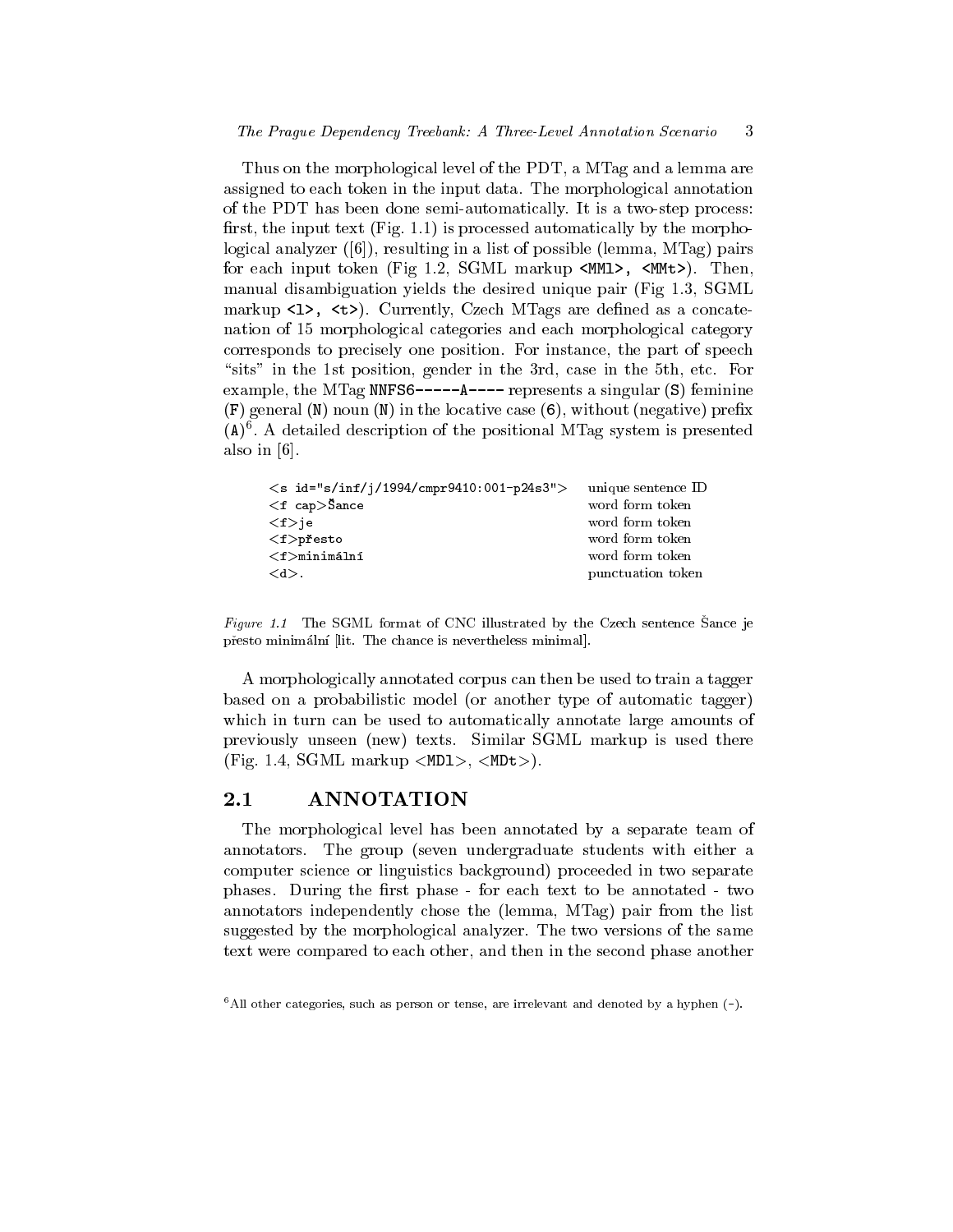Thus on the morphological level of the PDT, a MTag and a lemma are assigned to each token in the input data. The morphological annotation of the PDT has been done semi-automatically. It is a two-step process: first, the input text  $(Fig. 1.1)$  is processed automatically by the morphological analyzer ([6]), resulting in a list of possible (lemma, MTag) pairs for each input token (Fig 1.2, SGML markup <MMl>, <MMt>). Then, manual disambiguation yields the desired unique pair (Fig 1.3, SGML markup <1>, <t>). Currently, Czech MTags are defined as a concatenation of 15 morphological categories and each morphological category corresponds to precisely one position. For instance, the part of speech "sits" in the 1st position, gender in the 3rd, case in the 5th, etc. For example, the MTag NNFS6----- $A$ ---- represents a singular (S) feminine  $(F)$  general  $(N)$  noun  $(N)$  in the locative case  $(6)$ , without (negative) prefix (A) 6 . A detailed description of the positional MTag system is presented also in [6].

| $\leq$ s id="s/inf/j/1994/cmpr9410:001-p24s3"> unique sentence ID |                   |
|-------------------------------------------------------------------|-------------------|
| $\langle$ f cap $>$ Šance                                         | word form token   |
| $<$ f $>$ ie                                                      | word form token   |
| $\langle$ f $>$ přesto                                            | word form token   |
| $<$ f $>$ minimální                                               | word form token   |
| $<$ d $>$ .                                                       | punctuation token |

Figure 1.1 The SGML format of CNC illustrated by the Czech sentence Sance je přesto minimální [lit. The chance is nevertheless minimal].

A morphologically annotated corpus can then be used to train a tagger based on a probabilistic model (or another type of automatic tagger) which in turn can be used to automatically annotate large amounts of previously unseen (new) texts. Similar SGML markup is used there (Fig. 1.4, SGML markup  $\langle MD1 \rangle$ ,  $\langle MDt \rangle$ ).

### 2.1 ANNOTATION

The morphological level has been annotated by a separate team of annotators. The group (seven undergraduate students with either a computer science or linguistics background) proceeded in two separate phases. During the first phase - for each text to be annotated - two annotators independently chose the (lemma, MTag) pair from the list suggested by the morphological analyzer. The two versions of the same text were compared to each other, and then in the second phase another

 $6$ All other categories, such as person or tense, are irrelevant and denoted by a hyphen  $(-)$ .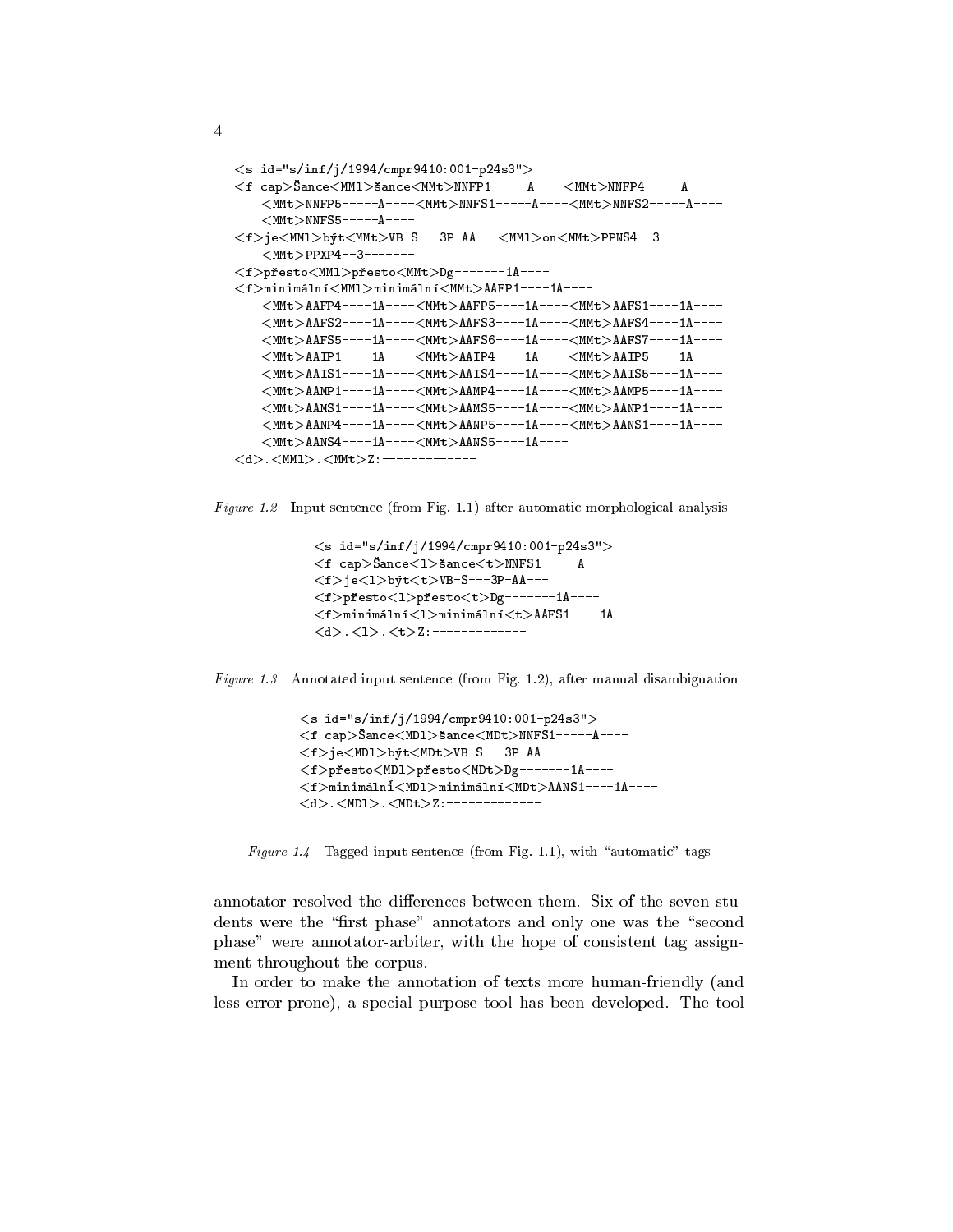```
<s id="s/inf/j/1994/cmpr9410:001-p24s3">
<f cap>Sance<MM1>sance<MMt>NNFP1-----A----<MMt>NNFP4-----A----
   <MMt>NNFP5-----A----<MMt>NNFS1-----A----<MMt>NNFS2-----A----
    <MMt>NNFS5-----A----
<f>je<MMl>být<MMt>VB-S---3P-AA---<MMl>on<MMt>PPNS4--3-------
   <MMt>PPXP4--3-------
<f>přesto<MMl>přesto<MMt>Dg-------1A----
<\!f\!>minimální<MM1>minimální<MMt>AAFP1----1A----
   <MMt >AAFP4----1A----<MMt >AAFP5----1A----<MMt >AAFS1----1A----
   <MMt>AAFS2----1A----<MMt>AAFS3----1A----<MMt>AAFS4----1A----
   <MMt > AAFS5----1A----<MMt > AAFS6----1A----<MMt > AAFS7----1A----
   \langle MMt \rangleAAIP1----1A----\langle MMt \rangleAAIP4----1A----\langle MMt \rangleAAIP5----1A----
   <MMt > AAIS1----1A----<MMt > AAIS4----1A----<MMt > AAIS5----1A----
   <MMt >AAMP1----1A----<MMt >AAMP4----1A----<MMt >AAMP5----1A----
   <MMt>AAMS1----1A----<MMt>AAMS5----1A----<MMt>AANP1----1A----
   <MMt>AANP4----1A----<MMt>AANP5----1A----<MMt>AANS1----1A----
    <MMt > AANS4----1A----<MMt > AANS5----1A----
\langle d \rangle. \langle MM1 \rangle. \langle MMt \rangleZ: -------------
```
*Figure 1.2* Input sentence (from Fig. 1.1) after automatic morphological analysis

```
<s id="s/inf/j/1994/cmpr9410:001-p24s3">
<f cap>Šance<1>šance<t>NNFS1-----A----
<f>je<l>být<t>VB-S---3P-AA---
\langle f \ranglepřesto\langle 1 \ranglepřesto\langle t \rangleDg-------1A----
<f>minimální<l>minimální<t>AAFS1----1A----
d > .1 > .52:--------------
```
Figure 1.3 Annotated input sentence (from Fig. 1.2), after manual disambiguation

```
<s id="s/inf/j/1994/cmpr9410:001-p24s3">
<f cap>Šance<MD1>šance<MDt>NNFS1-----A----
<f >je<MDl >být<MDt >VB-S---3P-AA---
\langle f \ranglepřesto\langle MDL \ranglepřesto\langle MDt \rangleDg-------1A----
<f>minimální<MDl>minimální<MDt>AANS1----1A----
<d>.<MD1>.<MDt>Z:------------
```
Figure 1.4 Tagged input sentence (from Fig. 1.1), with "automatic" tags

annotator resolved the differences between them. Six of the seven students were the "first phase" annotators and only one was the "second phase" were annotator-arbiter, with the hope of consistent tag assignment throughout the corpus.

In order to make the annotation of texts more human-friendly (and less error-prone), a special purpose tool has been developed. The tool

 $\overline{4}$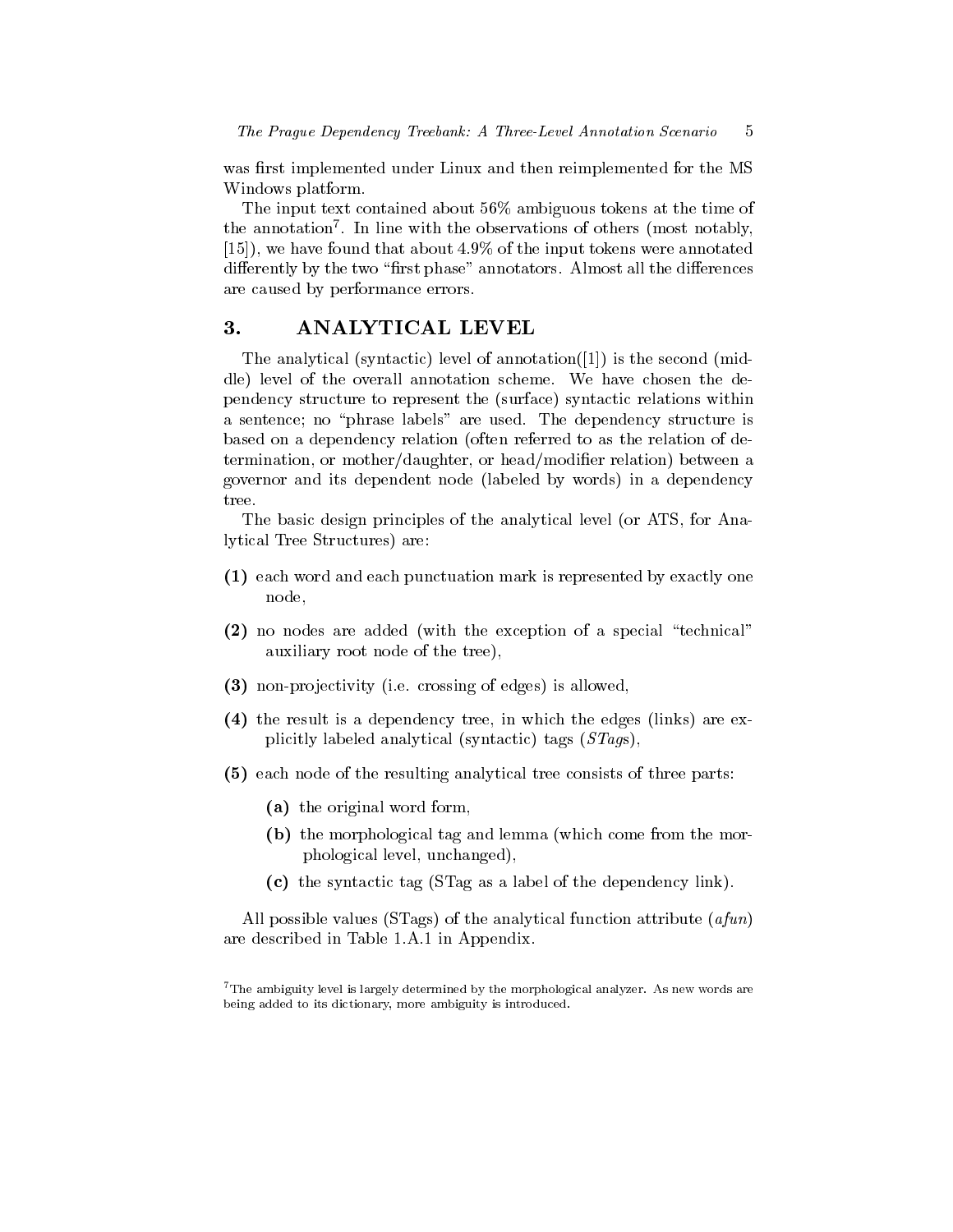was first implemented under Linux and then reimplemented for the MS Windows platform.

The input text contained about 56% ambiguous tokens at the time of the annotation<sup>7</sup> . In line with the observations of others (most notably, [15]), we have found that about 4.9% of the input tokens were annotated differently by the two "first phase" annotators. Almost all the differences are caused by performance errors.

### 3.

The analytical (syntactic) level of annotation([1]) is the second (middle) level of the overall annotation scheme. We have chosen the dependency structure to represent the (surface) syntactic relations within a sentence; no "phrase labels" are used. The dependency structure is based on a dependency relation (often referred to as the relation of determination, or mother/daughter, or head/modifier relation) between a governor and its dependent node (labeled by words) in a dependency tree.

The basic design principles of the analytical level (or ATS, for Analytical Tree Structures) are:

- (1) each word and each punctuation mark is represented by exactly one node,
- (2) no nodes are added (with the exception of a special "technical" auxiliary root node of the tree),
- (3) non-projectivity (i.e. crossing of edges) is allowed,
- (4) the result is a dependency tree, in which the edges (links) are explicitly labeled analytical (syntactic) tags  $(STags)$ ,
- (5) each node of the resulting analytical tree consists of three parts:
	- (a) the original word form,
	- (b) the morphological tag and lemma (which come from the morphological level, unchanged),
	- (c) the syntactic tag (STag as a label of the dependency link).

All possible values (STags) of the analytical function attribute (afun) are described in Table 1.A.1 in Appendix.

 $7$ The ambiguity level is largely determined by the morphological analyzer. As new words are being added to its dictionary, more ambiguity is introduced.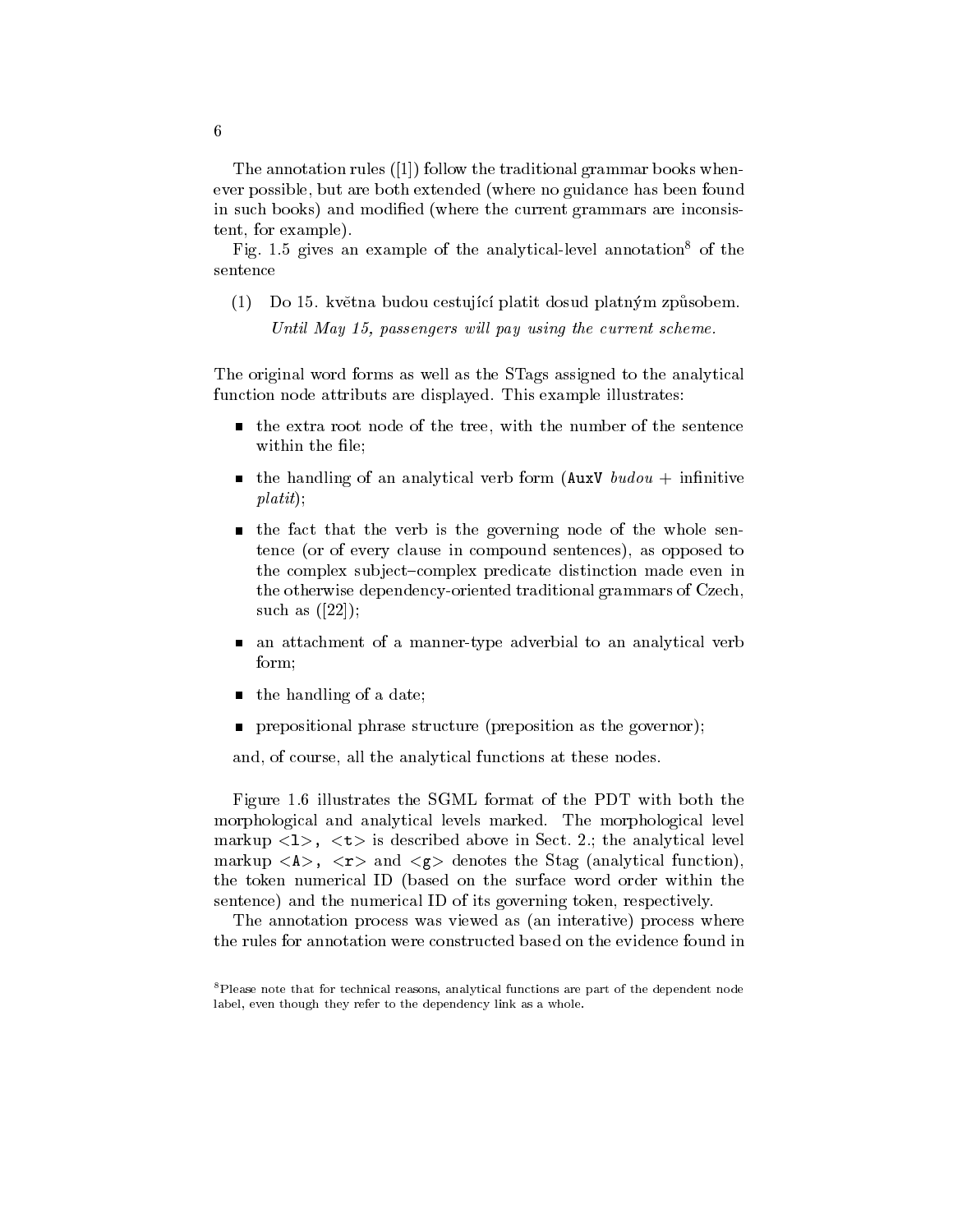The annotation rules ([1]) follow the traditional grammar books whenever possible, but are both extended (where no guidance has been found in such books) and modied (where the current grammars are inconsistent, for example).

Fig. 1.5 gives an example of the analytical-level annotation<sup>8</sup> of the sentence

 $(1)$  Do 15. května budou cestující platit dosud platným způsobem. Until May 15, passengers will pay using the current scheme.

The original word forms as well as the STags assigned to the analytical function node attributs are displayed. This example illustrates:

- the extra root node of the tree, with the number of the sentence within the file;
- **the handling of an analytical verb form (AuxV** budou + infinitive platit);
- the fact that the verb is the governing node of the whole sen- $\blacksquare$ tence (or of every clause in compound sentences), as opposed to the complex subject-complex predicate distinction made even in the otherwise dependency-oriented traditional grammars of Czech, such as ([22]);
- an attachment of a manner-type adverbial to an analytical verb  $\blacksquare$ form;
- the handling of a date;  $\blacksquare$
- prepositional phrase structure (preposition as the governor);

and, of course, all the analytical functions at these nodes.

Figure 1.6 illustrates the SGML format of the PDT with both the morphological and analytical levels marked. The morphological level markup  $\langle 1 \rangle$ ,  $\langle t \rangle$  is described above in Sect. 2.; the analytical level markup  $\langle A \rangle$ ,  $\langle r \rangle$  and  $\langle g \rangle$  denotes the Stag (analytical function), the token numerical ID (based on the surface word order within the sentence) and the numerical ID of its governing token, respectively.

The annotation process was viewed as (an interative) process where the rules for annotation were constructed based on the evidence found in

<sup>&</sup>lt;sup>8</sup>Please note that for technical reasons, analytical functions are part of the dependent node label, even though they refer to the dependency link as a whole.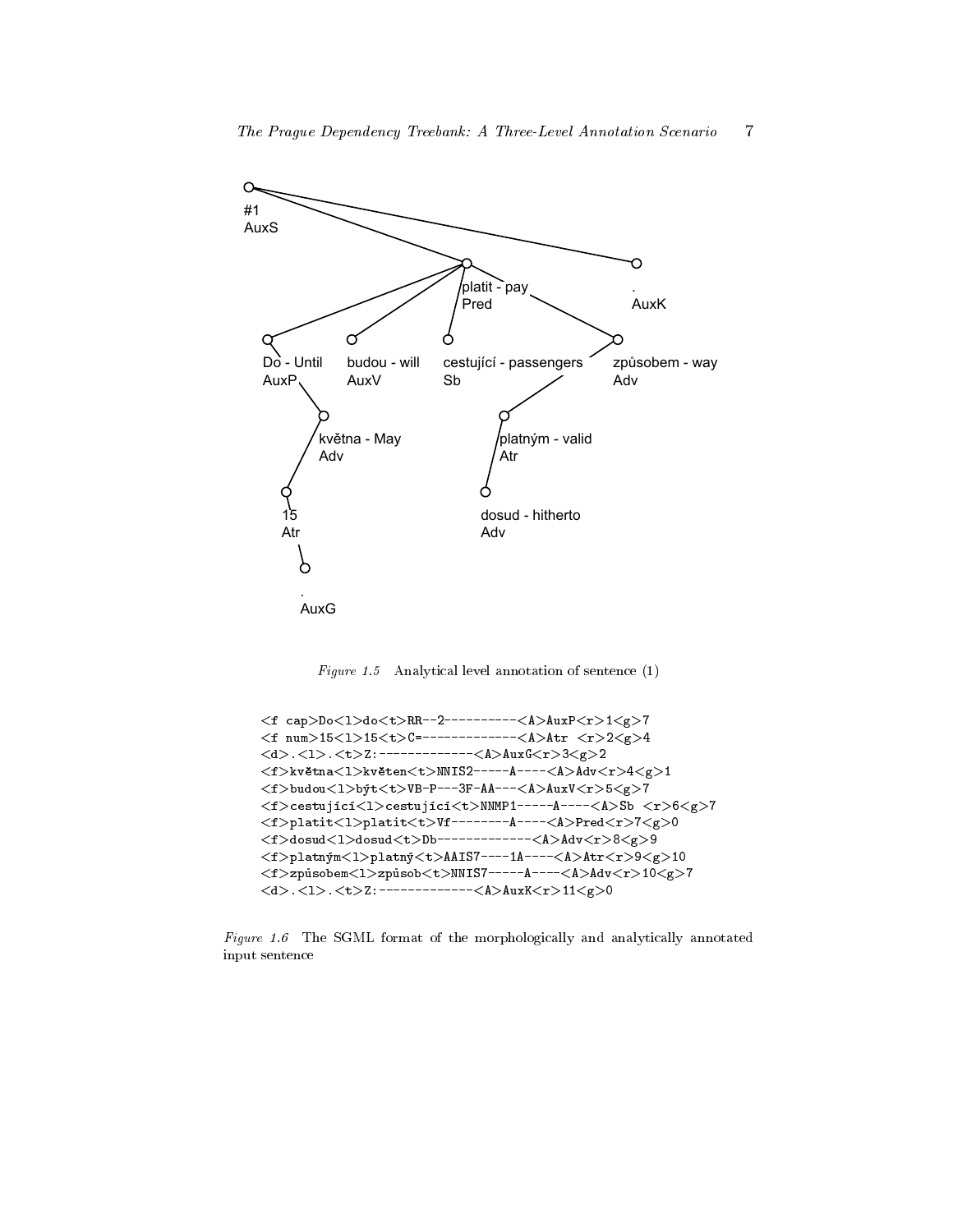

Figure 1.5 Analytical level annotation of sentence  $(1)$ 

```
<\!\!f\;\;{\tt cap}\!>\!D{\tt o}\!<\!1\!>\!d{\tt o}\!<\!t\!>\!RR\!-\!2\!-\!-\!-\!-\!-\!-\!-\!<\!A\!>\!Aux\!P\!<\!r\!>\!1\!<\!g\!>\!7\langle f \text{ num}>15\langle 1\rangle15\langle t\rangle C=-------<A\rangle A \text{tr} \langle r\rangle2\langle g\rangle4d > .1 > .52:-------------<A>AuxG<r>3<g>2
<f>května<l>květen<t>NNIS2-----A----<A>Adv<r>4<g>1
<f>budou<l>být<t>VB-P---3F-AA---<A>AuxV<r>><s>7
\langle f \ranglecestující\langle 1 \ranglecestující\langle t \rangleNNMP1-----A----\langle A \rangleSb \langle r \rangle6\langle g \rangle7
<f>platit<l>platit<t>Vf--------A----<A>Pred<r></>>>7<g>0
<f>dosud<l>dosud<t>Db-------------<A>Adv<r></>>>8<g>9
<f>platným<l>platný<t>AAIS7----1A----<A>Atr<r>><<br/>g>10
<f>způsobem<l>způsob<t>NNIS7-----A----<A>Adv<r>></>>10<g>7
d > .1 > .< t > 2:------------<A>AuxK<r>11<g>0
```
Figure 1.6 The SGML format of the morphologically and analytically annotated input sentence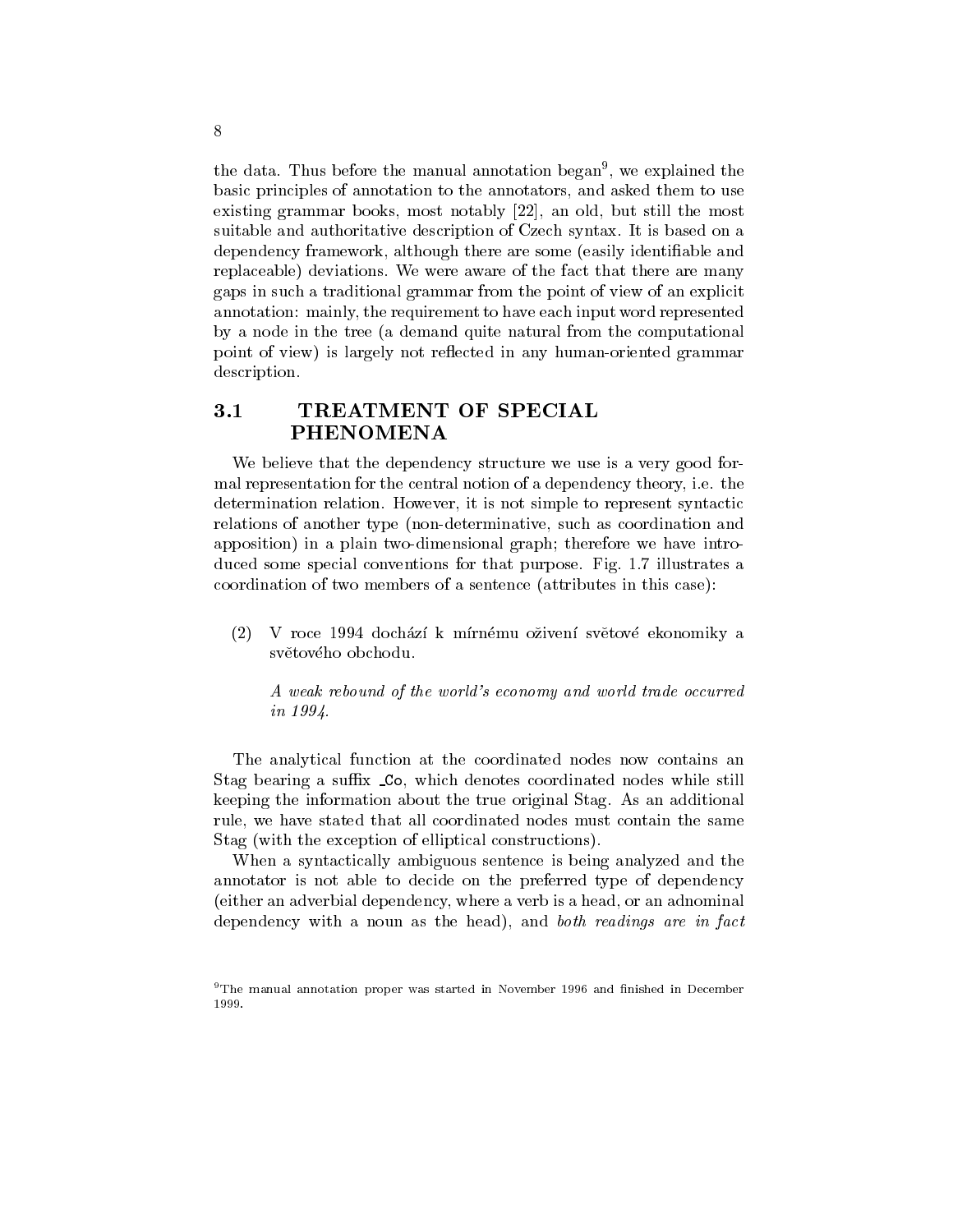$\iota$ ne data. Thus before the manual annotation began $\,$ , we explained the  $\,$ basic principles of annotation to the annotators, and asked them to use existing grammar books, most notably [22], an old, but still the most suitable and authoritative description of Czech syntax. It is based on a dependency framework, although there are some (easily identiable and replaceable) deviations. We were aware of the fact that there are many gaps in such a traditional grammar from the point of view of an explicit annotation: mainly, the requirement to have each input word represented by a node in the tree (a demand quite natural from the computational point of view) is largely not reflected in any human-oriented grammar description.

#### TREATMENT OF SPECIAL  $3.1$ PHENOMENA

We believe that the dependency structure we use is a very good formal representation for the central notion of a dependency theory, i.e. the determination relation. However, it is not simple to represent syntactic relations of another type (non-determinative, such as coordination and apposition) in a plain two-dimensional graph; therefore we have introduced some special conventions for that purpose. Fig. 1.7 illustrates a coordination of two members of a sentence (attributes in this case):

(2) V roce 1994 dochází k mírnému oživení světové ekonomiky a světového obchodu.

A weak rebound of the world's economy and world trade occurred in 1994.

The analytical function at the coordinated nodes now contains an Stag bearing a suffix  $\mathcal{L}$  co, which denotes coordinated nodes while still keeping the information about the true original Stag. As an additional rule, we have stated that all coordinated nodes must contain the same Stag (with the exception of elliptical constructions).

When a syntactically ambiguous sentence is being analyzed and the annotator is not able to decide on the preferred type of dependency (either an adverbial dependency, where a verb is a head, or an adnominal dependency with a noun as the head), and both readings are in fact

<sup>&</sup>lt;sup>9</sup>The manual annotation proper was started in November 1996 and finished in December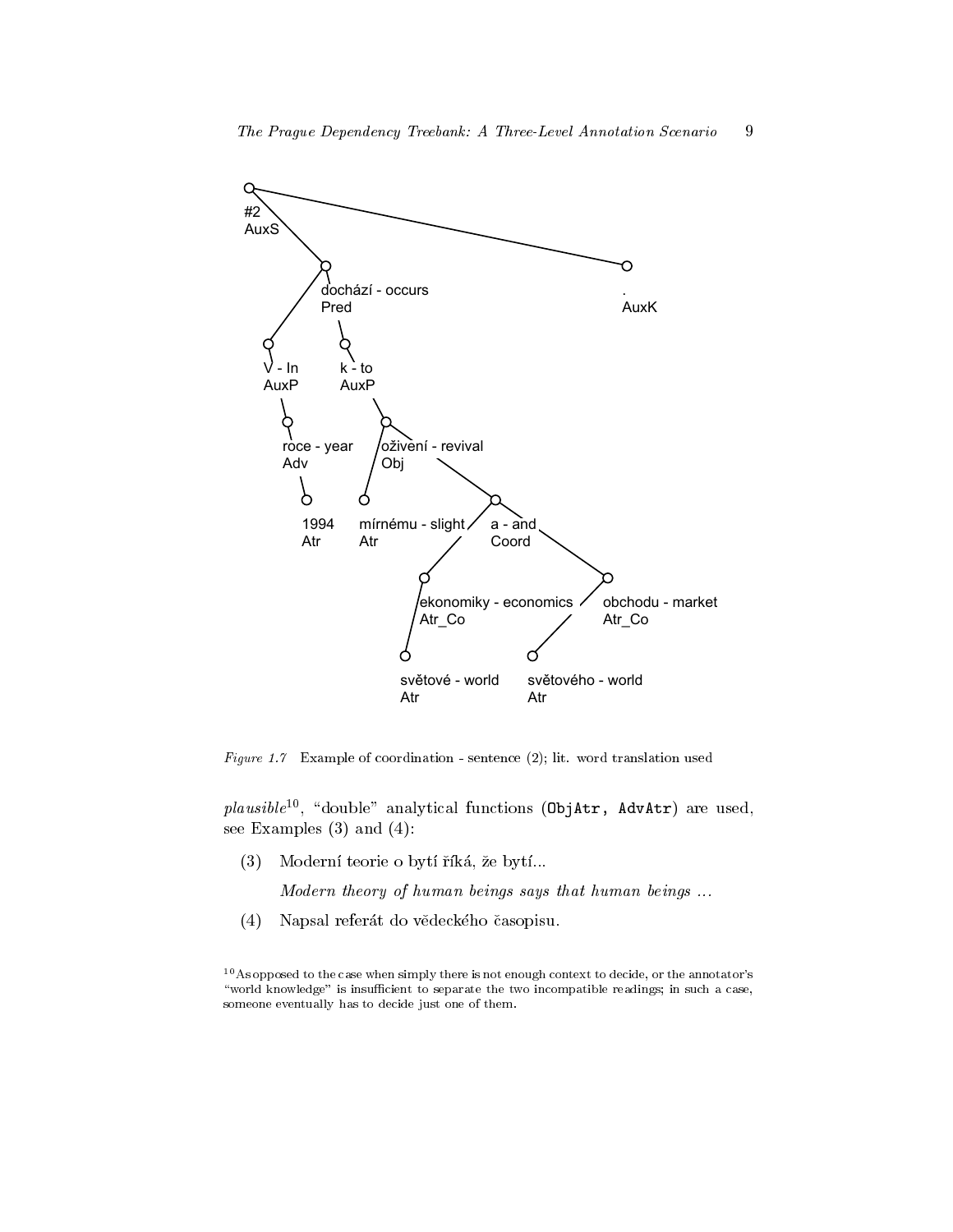

Figure 1.7 Example of coordination - sentence  $(2)$ ; lit. word translation used

 $plausible^{10}$ , "double" analytical functions (0bjAtr, AdvAtr) are used, see Examples  $(3)$  and  $(4)$ :

Moderní teorie o bytí říká, že bytí...  $(3)$ 

Modern theory of human beings says that human beings ...

 $(4)$ Napsal referát do vědeckého časopisu.

 $10$  As opposed to the case when simply there is not enough context to decide, or the annotator's "world knowledge" is insufficient to separate the two incompatible readings; in such a case, someone eventually has to decide just one of them.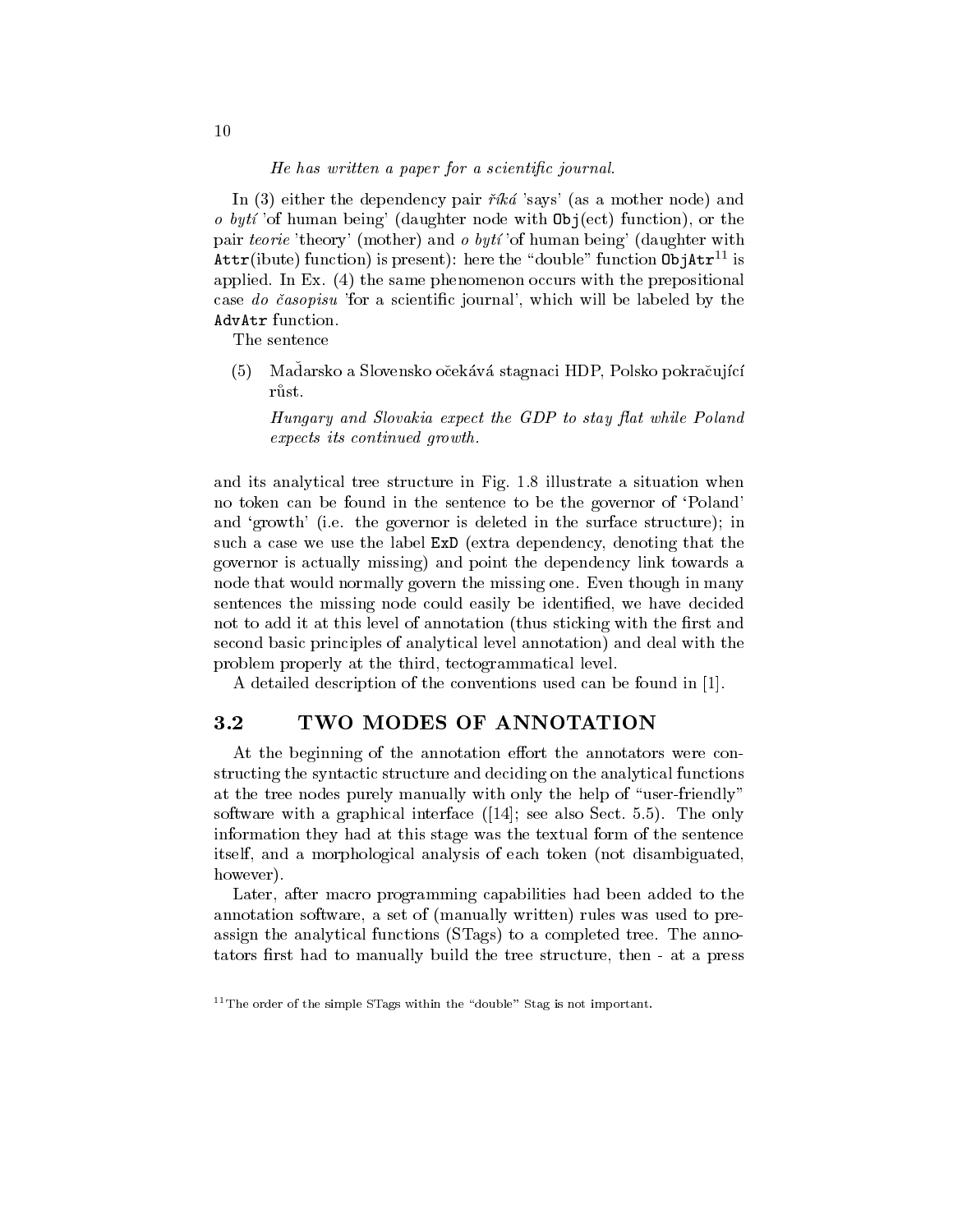#### He has written a paper for a scientific journal.

In (3) either the dependency pair  $\tilde{r}$   $\tilde{k}$  as  $\tilde{k}$  as a mother node) and o byti 'of human being' (daughter node with  $\mathsf{Obj}(\text{ect})$  function), or the pair teorie 'theory' (mother) and  $\sigma$  byti' of human being' (daughter with Attr(ibute) function) is present): here the "double" function  $\text{Ob} \text{istr}^{11}$  is applied. In Ex. (4) the same phenomenon occurs with the prepositional case do casopisu 'for a scientific journal', which will be labeled by the

The sentence

(5) Madarsk o a Slovensko ocekava stagnaci HDP, Polsko pokracujc růst.

Hungary and Slovakia expect the GDP to stay flat while Poland expects its continued growth.

and its analytical tree structure in Fig.1.8 illustrate a situation when no token can be found in the sentence to be the governor of `Poland' and 'growth' (i.e. the governor is deleted in the surface structure); in such a case we use the label ExD (extra dependency, denoting that the governor is actually missing) and point the dependency link towards a node that would normally govern the missing one. Even though in many sentences the missing node could easily be identied, we have decided not to add it at this level of annotation (thus sticking with the first and second basic principles of analytical level annotation) and deal with the problem properly at the third, tectogrammatical level.

A detailed description of the conventions used can be found in [1].

#### $3.2$ 3.2 TWO MODES OF ANNOTATION

At the beginning of the annotation effort the annotators were constructing the syntactic structure and deciding on the analytical functions at the tree nodes purely manually with only the help of "user-friendly" software with a graphical interface ([14]; see also Sect. 5.5). The only information they had at this stage was the textual form of the sentence itself, and a morphological analysis of each token (not disambiguated, however).

Later, after macro programming capabilities had been added to the annotation software, a set of (manually written) rules was used to preassign the analytical functions (STags) to a completed tree. The annotators first had to manually build the tree structure, then - at a press

 $11$ The order of the simple STags within the "double" Stag is not important.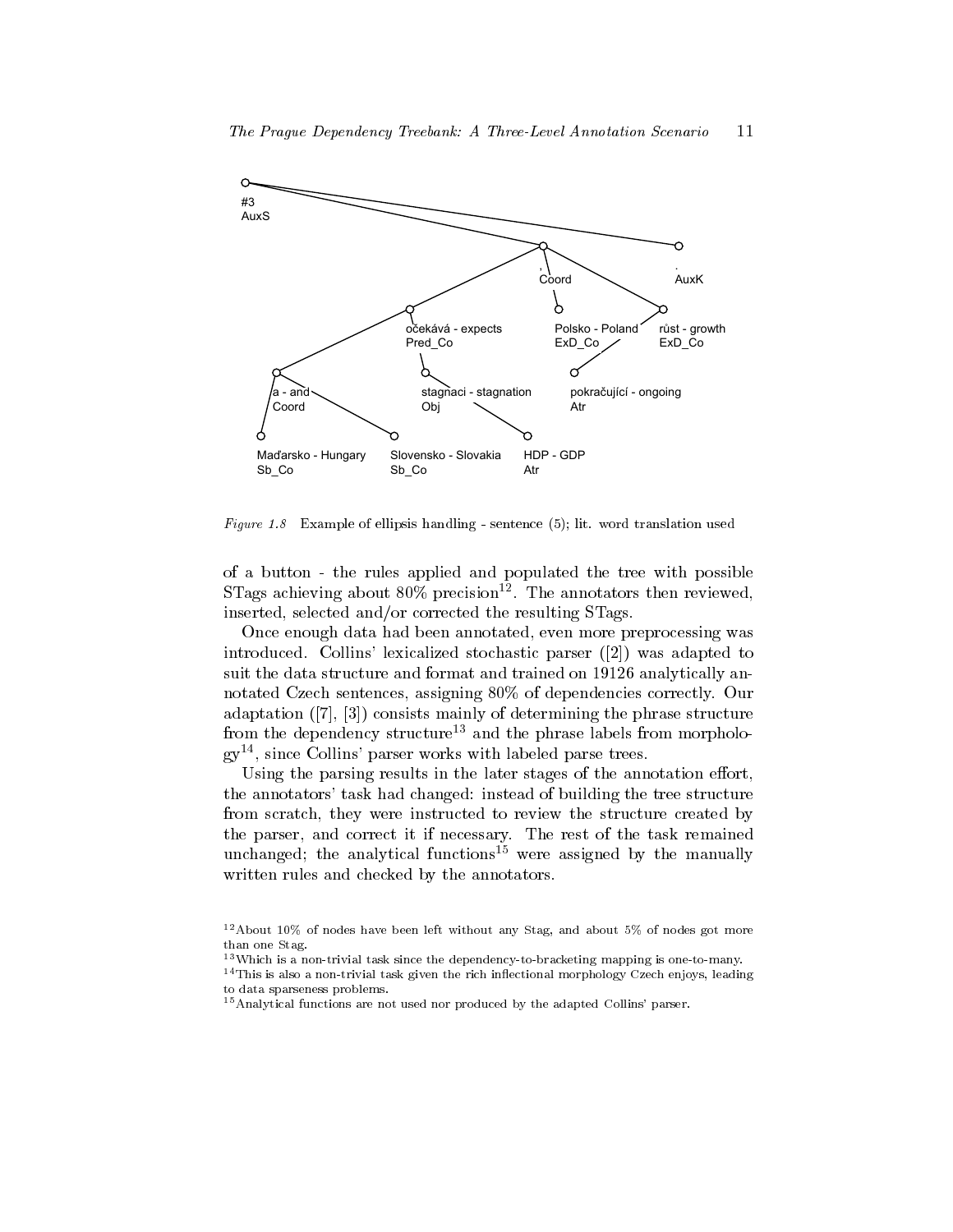

Figure 1.8 Example of ellipsis handling - sentence (5); lit. word translation used

of a button - the rules applied and populated the tree with possible STags achieving about 80% precision12 . The annotators then reviewed, inserted, selected and/or corrected the resulting STags.

Once enough data had been annotated, even more preprocessing was introduced. Collins' lexicalized stochastic parser ([2]) was adapted to suit the data structure and format and trained on 19126 analytically annotated Czech sentences, assigning 80% of dependencies correctly. Our adaptation ([7], [3]) consists mainly of determining the phrase structure from the dependency structure<sup>13</sup> and the phrase labels from morpholo $gy<sup>14</sup>$ , since Collins' parser works with labeled parse trees.

Using the parsing results in the later stages of the annotation effort, the annotators' task had changed: instead of building the tree structure from scratch, they were instructed to review the structure created by the parser, and correct it if necessary. The rest of the task remained unchanged; the analytical functions<sup>15</sup> were assigned by the manually written rules and checked by the annotators.

<sup>12</sup>About 10% of nodes have been left without any Stag, and about 5% of nodes got more than one Stag.

<sup>13</sup>Which is a non-trivial task since the dependency-to-bracketing mapping is one-to-many.

 $^{14}\mathrm{This}$  is also a non-trivial task given the rich inflectional morphology Czech enjoys, leading to data sparseness problems.

<sup>&</sup>lt;sup>15</sup> Analytical functions are not used nor produced by the adapted Collins' parser.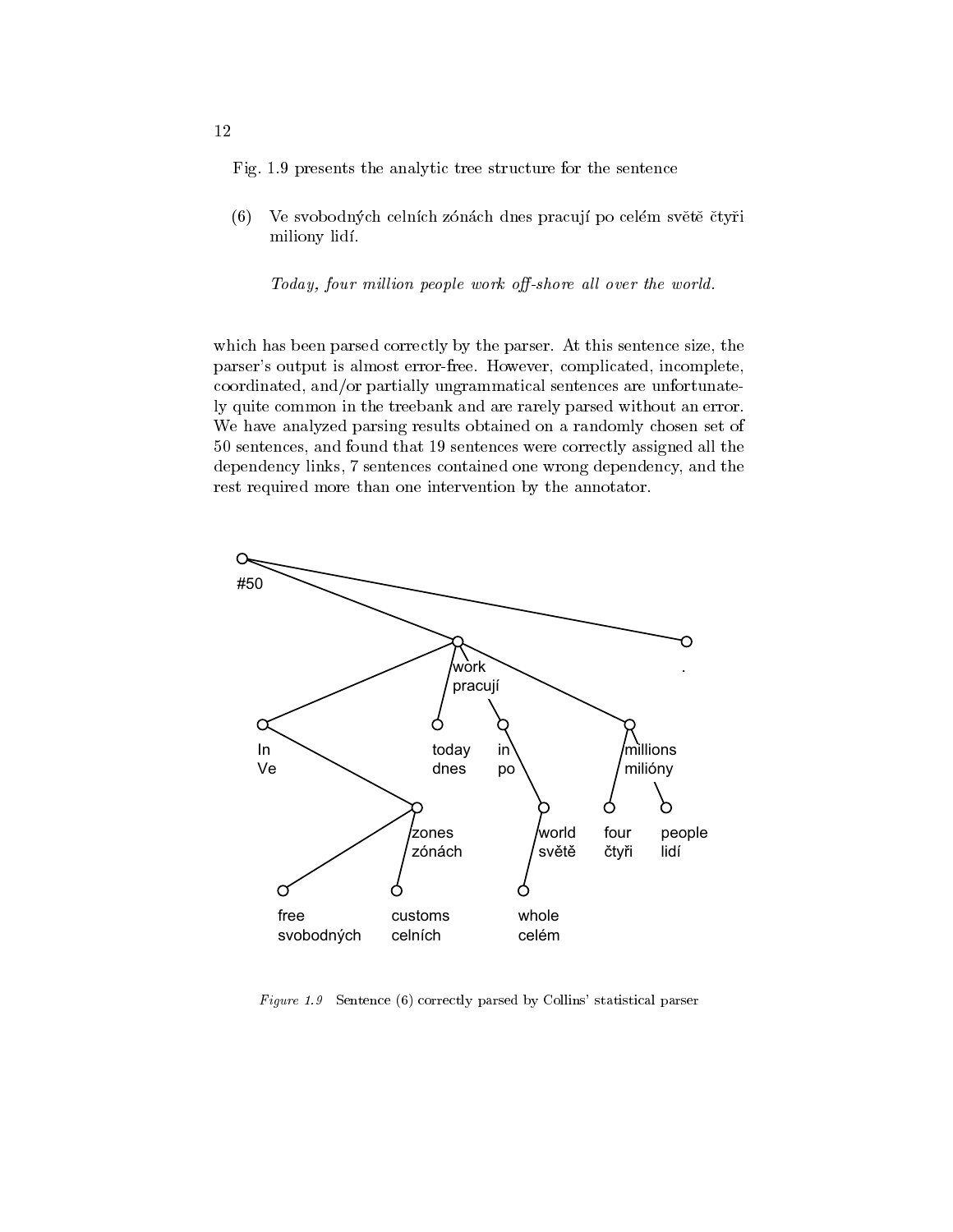- Fig. 1.9 presents the analytic tree structure for the sentence
- Ve svobodných celních zónách dnes pracují po celém světě čtyři  $(6)$ miliony lidí.

Today, four million people work off-shore all over the world.

which has been parsed correctly by the parser. At this sentence size, the parser's output is almost error-free. However, complicated, incomplete, coordinated, and/or partially ungrammatical sentences are unfortunately quite common in the treebank and are rarely parsed without an error. We have analyzed parsing results obtained on a randomly chosen set of 50 sentences, and found that 19 sentences were correctly assigned all the dependency links, 7 sentences contained one wrong dependency, and the rest required more than one intervention by the annotator.



Figure 1.9 Sentence (6) correctly parsed by Collins' statistical parser

12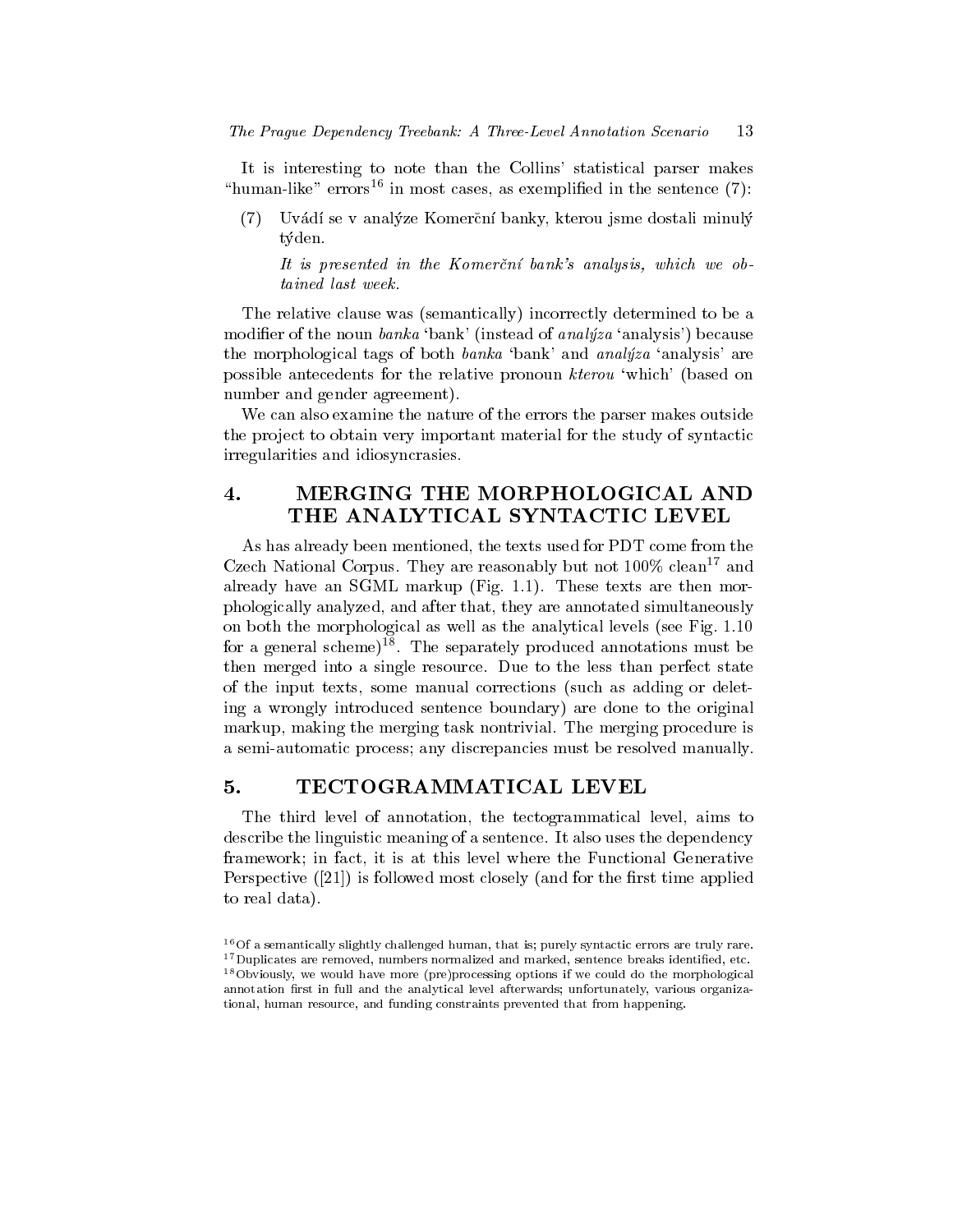It is interesting to note than the Collins' statistical parser makes "human-like" errors<sup>16</sup> in most cases, as exemplified in the sentence  $(7)$ :

(7) Uvádí se v analýze Komerční banky, kterou jsme dostali minulý tyden.

It is presented in the Komercni bank's analysis, which we obtained last week.

The relative clause was (semantically) incorrectly determined to be a modifier of the noun banka 'bank' (instead of analyza 'analysis') because the morphological tags of both banka 'bank' and analyza 'analysis' are possible antecedents for the relative pronoun kterou 'which' (based on number and gender agreement).

We can also examine the nature of the errors the parser makes outside the project to obtain very important material for the study of syntactic irregularities and idiosyncrasies.

## 4. MERGING THE MORPHOLOGICAL AND THE ANALYTICAL SYNTACTIC LEVEL

As has already been mentioned, the texts used for PDT come from the Czech National Corpus. They are reasonably but not  $100\%$  clean<sup>17</sup> and already have an SGML markup (Fig. 1.1). These texts are then morphologically analyzed, and after that, they are annotated simultaneously on both the morphological as well as the analytical levels (see Fig. 1.10 for a general scheme) . The separately produced annotations must be then merged into a single resource. Due to the less than perfect state of the input texts, some manual corrections (such as adding or deleting a wrongly introduced sentence boundary) are done to the original markup, making the merging task nontrivial. The merging procedure is a semi-automatic process; any discrepancies must be resolved manually.

## 5. TECTOGRAMMATICAL LEVEL

The third level of annotation, the tectogrammatical level, aims to describe the linguistic meaning of a sentence. It also uses the dependency framework; in fact, it is at this level where the Functional Generative Perspective  $(21)$  is followed most closely (and for the first time applied to real data).

 $^{16}$ Of a semantically slightly challenged human, that is; purely syntactic errors are truly rare.  $17$ Duplicates are removed, numbers normalized and marked, sentence breaks identified, etc. 18Obviously, we would have more (pre)processing options if we could do the morphological annotation first in full and the analytical level afterwards; unfortunately, various organiza-

tional, human resource, and funding constraints prevented that from happening.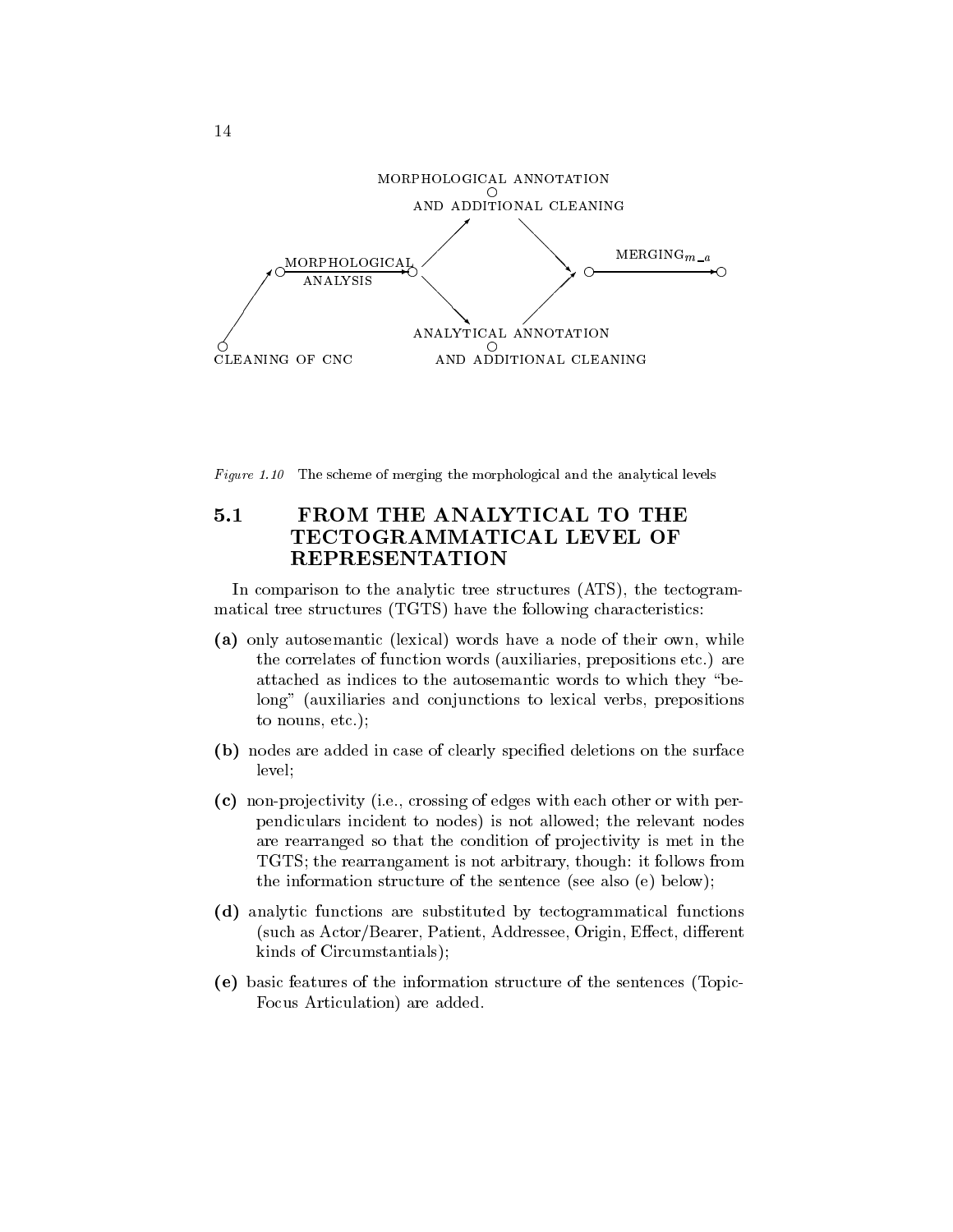

Figure 1.10 The scheme of merging the morphological and the analytical levels

#### $5.1$ FROM THE ANALYTICAL TO THE TECTOGRAMMATICAL LEVEL OF REPRESENTATION

In comparison to the analytic tree structures (ATS), the tectogrammatical tree structures (TGTS) have the following characteristics:

- (a) only autosemantic (lexical) words have a node of their own, while the correlates of function words (auxiliaries, prepositions etc.) are attached as indices to the autosemantic words to which they \belong" (auxiliaries and conjunctions to lexical verbs, prepositions to nouns, etc.);
- (b) nodes are added in case of clearly specied deletions on the surface level;
- $(c)$  non-projectivity (i.e., crossing of edges with each other or with perpendiculars incident to nodes) is not allowed; the relevant nodes are rearranged so that the condition of projectivity is met in the TGTS; the rearrangament is not arbitrary, though: it follows from the information structure of the sentence (see also (e) below);
- (d) analytic functions are substituted by tectogrammatical functions (such as Actor/Bearer, Patient, Addressee, Origin, Effect, different kinds of Circumstantials);
- (e) basic features of the information structure of the sentences (Topic-Focus Articulation) are added.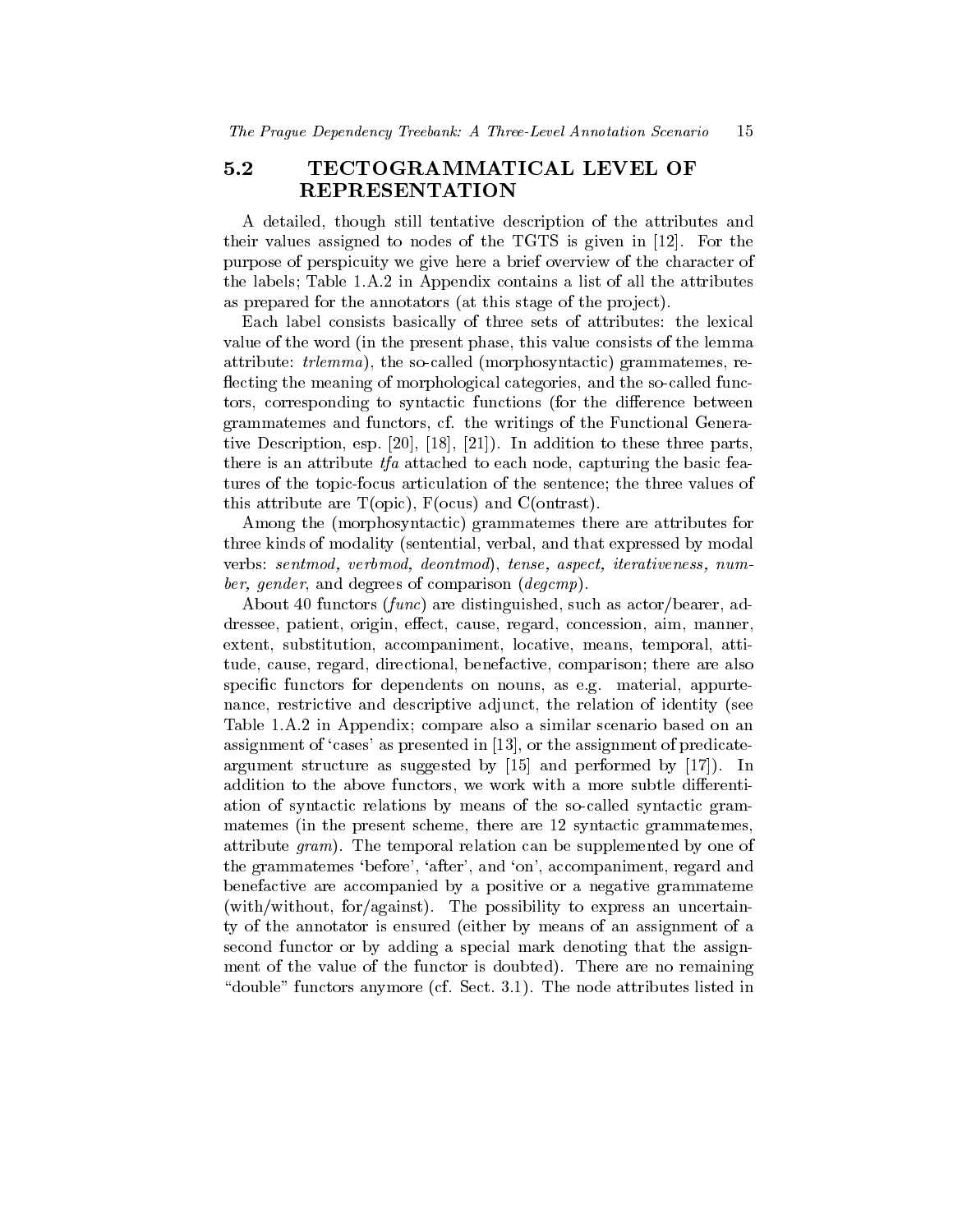## 5.2 TECTOGRAMMATICAL LEVEL OF REPRESENTATION

A detailed, though still tentative description of the attributes and their values assigned to nodes of the TGTS is given in [12]. For the purpose of perspicuity we give here a brief overview of the character of the labels; Table 1.A.2 in Appendix contains a list of all the attributes as prepared for the annotators (at this stage of the project).

Each label consists basically of three sets of attributes: the lexical value of the word (in the present phase, this value consists of the lemma attribute: trlemma), the so-called (morphosyntactic) grammatemes, re flecting the meaning of morphological categories, and the so-called functors, corresponding to syntactic functions (for the difference between grammatemes and functors, cf. the writings of the Functional Generative Description, esp. [20], [18], [21]). In addition to these three parts, there is an attribute tfa attached to each node, capturing the basic features of the topic-focus articulation of the sentence; the three values of this attribute are  $T$ (opic),  $F$ (ocus) and  $C$ (ontrast).

Among the (morphosyntactic) grammatemes there are attributes for three kinds of modality (sentential, verbal, and that expressed by modal verbs: sentmod, verbmod, deontmod), tense, aspect, iterativeness, number, gender, and degrees of comparison (degcmp).

About 40 functors (func) are distinguished, such as actor/bearer, addressee, patient, origin, effect, cause, regard, concession, aim, manner, extent, substitution, accompaniment, locative, means, temporal, attitude, cause, regard, directional, benefactive, comparison; there are also specific functors for dependents on nouns, as e.g. material, appurtenance, restrictive and descriptive adjunct, the relation of identity (see Table 1.A.2 in Appendix; compare also a similar scenario based on an assignment of 'cases' as presented in [13], or the assignment of predicateargument structure as suggested by [15] and performed by [17]). In addition to the above functors, we work with a more subtle differentiation of syntactic relations by means of the so-called syntactic grammatemes (in the present scheme, there are 12 syntactic grammatemes, attribute gram). The temporal relation can be supplemented by one of the grammatemes `before', `after', and `on', accompaniment, regard and benefactive are accompanied by a positive or a negative grammateme (with/without, for/against). The possibility to express an uncertainty of the annotator is ensured (either by means of an assignment of a second functor or by adding a special mark denoting that the assignment of the value of the functor is doubted). There are no remaining "double" functors anymore (cf. Sect. 3.1). The node attributes listed in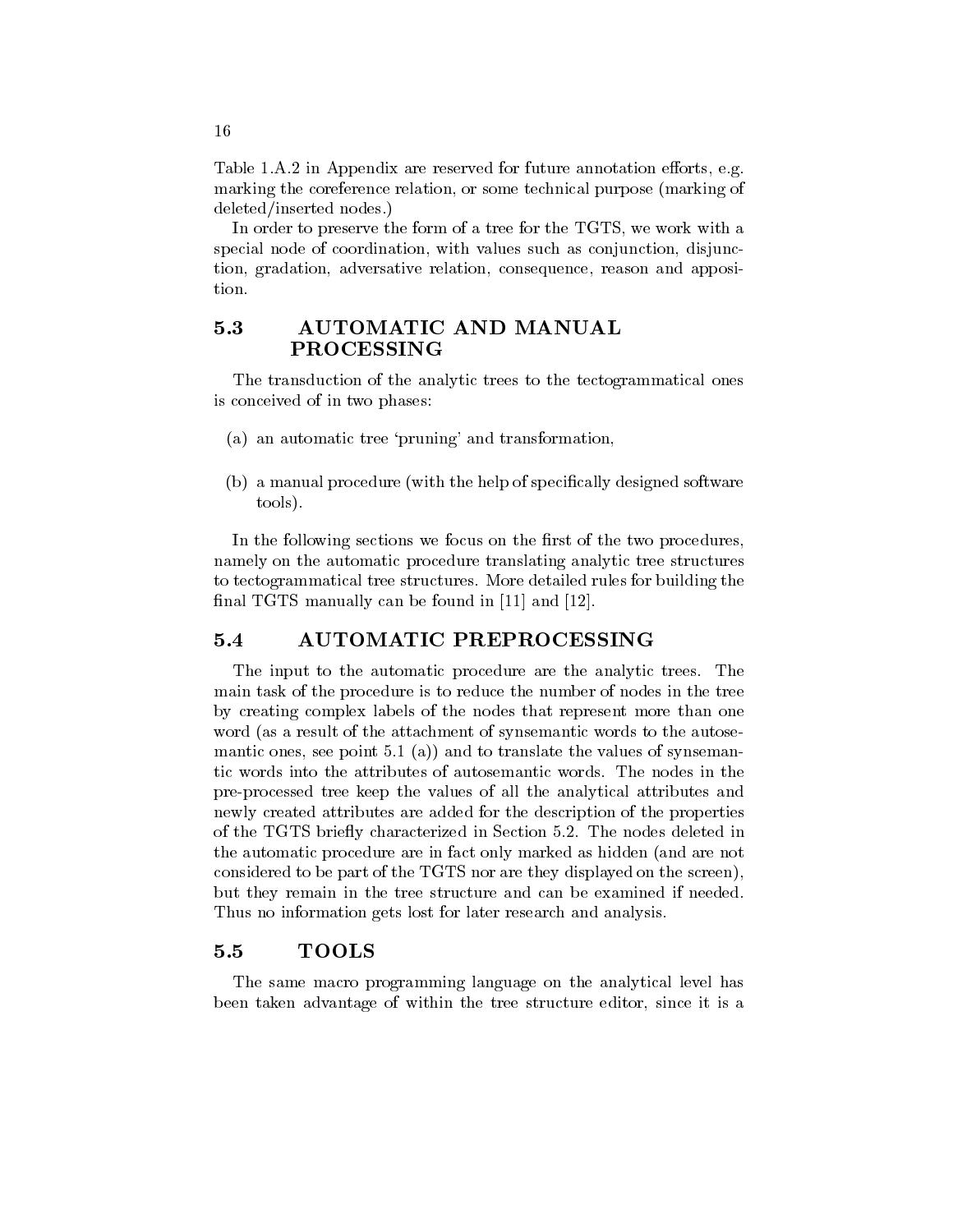Table 1.A.2 in Appendix are reserved for future annotation efforts, e.g. marking the coreference relation, or some technical purpose (marking of deleted/inserted nodes.)

In order to preserve the form of a tree for the TGTS, we work with a special node of coordination, with values such as conjunction, disjunction, gradation, adversative relation, consequence, reason and apposition.

#### $5.3$ AUTOMATIC AND MANUAL PROCESSING

The transduction of the analytic trees to the tectogrammatical ones is conceived of in two phases:

- (a) an automatic tree `pruning' and transformation,
- (b) a manual procedure (with the help of specically designed software tools).

In the following sections we focus on the first of the two procedures, namely on the automatic procedure translating analytic tree structures to tectogrammatical tree structures. More detailed rules for building the final TGTS manually can be found in  $[11]$  and  $[12]$ .

#### $5.4$ 5.4 AUTOMATIC PREPROCESSING

The input to the automatic procedure are the analytic trees. The main task of the procedure is to reduce the number of nodes in the tree by creating complex labels of the nodes that represent more than one word (as a result of the attachment of synsemantic words to the autosemantic ones, see point 5.1 (a)) and to translate the values of synsemantic words into the attributes of autosemantic words. The nodes in the pre-processed tree keep the values of all the analytical attributes and newly created attributes are added for the description of the properties of the TGTS briefly characterized in Section 5.2. The nodes deleted in the automatic procedure are in fact only marked as hidden (and are not considered to be part of the TGTS nor are they displayed on the screen), but they remain in the tree structure and can be examined if needed. Thus no information gets lost for later research and analysis.

### 5.5 TOOLS

The same macro programming language on the analytical level has been taken advantage of within the tree structure editor, since it is a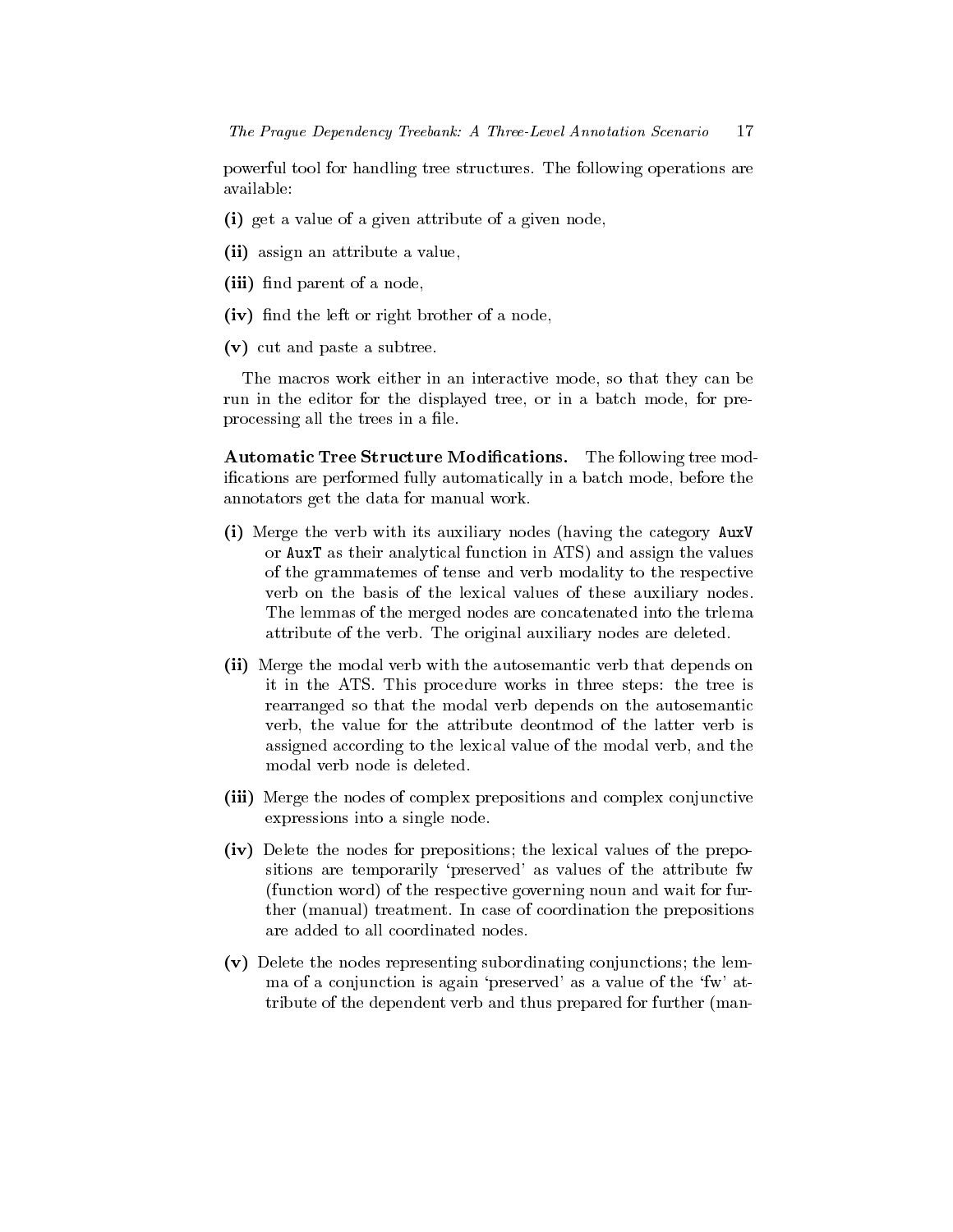powerful tool for handling tree structures. The following operations are available:

- (i) get a value of a given attribute of a given node,
- (ii) assign an attribute a value,
- (iii) find parent of a node,
- (iv) find the left or right brother of a node,
- (v) cut and paste a subtree.

The macros work either in an interactive mode, so that they can be run in the editor for the displayed tree, or in a batch mode, for preprocessing all the trees in a file.

Automatic Tree Structure Modifications. The following tree modications are performed fully automatically in a batch mode, before the annotators get the data for manual work.

- (i) Merge the verb with its auxiliary nodes (having the category AuxV or AuxT as their analytical function in ATS) and assign the values of the grammatemes of tense and verb modality to the respective verb on the basis of the lexical values of these auxiliary nodes. The lemmas of the merged nodes are concatenated into the trlema attribute of the verb. The original auxiliary nodes are deleted.
- (ii) Merge the modal verb with the autosemantic verb that depends on it in the ATS. This procedure works in three steps: the tree is rearranged so that the modal verb depends on the autosemantic verb, the value for the attribute deontmod of the latter verb is assigned according to the lexical value of the modal verb, and the modal verb node is deleted.
- (iii) Merge the nodes of complex prepositions and complex conjunctive expressions into a single node.
- (iv) Delete the nodes for prepositions; the lexical values of the prepositions are temporarily 'preserved' as values of the attribute fw (function word) of the respective governing noun and wait for further (manual) treatment. In case of coordination the prepositions are added to all coordinated nodes.
- (v) Delete the nodes representing subordinating conjunctions; the lemma of a conjunction is again 'preserved' as a value of the 'fw' attribute of the dependent verb and thus prepared for further (man-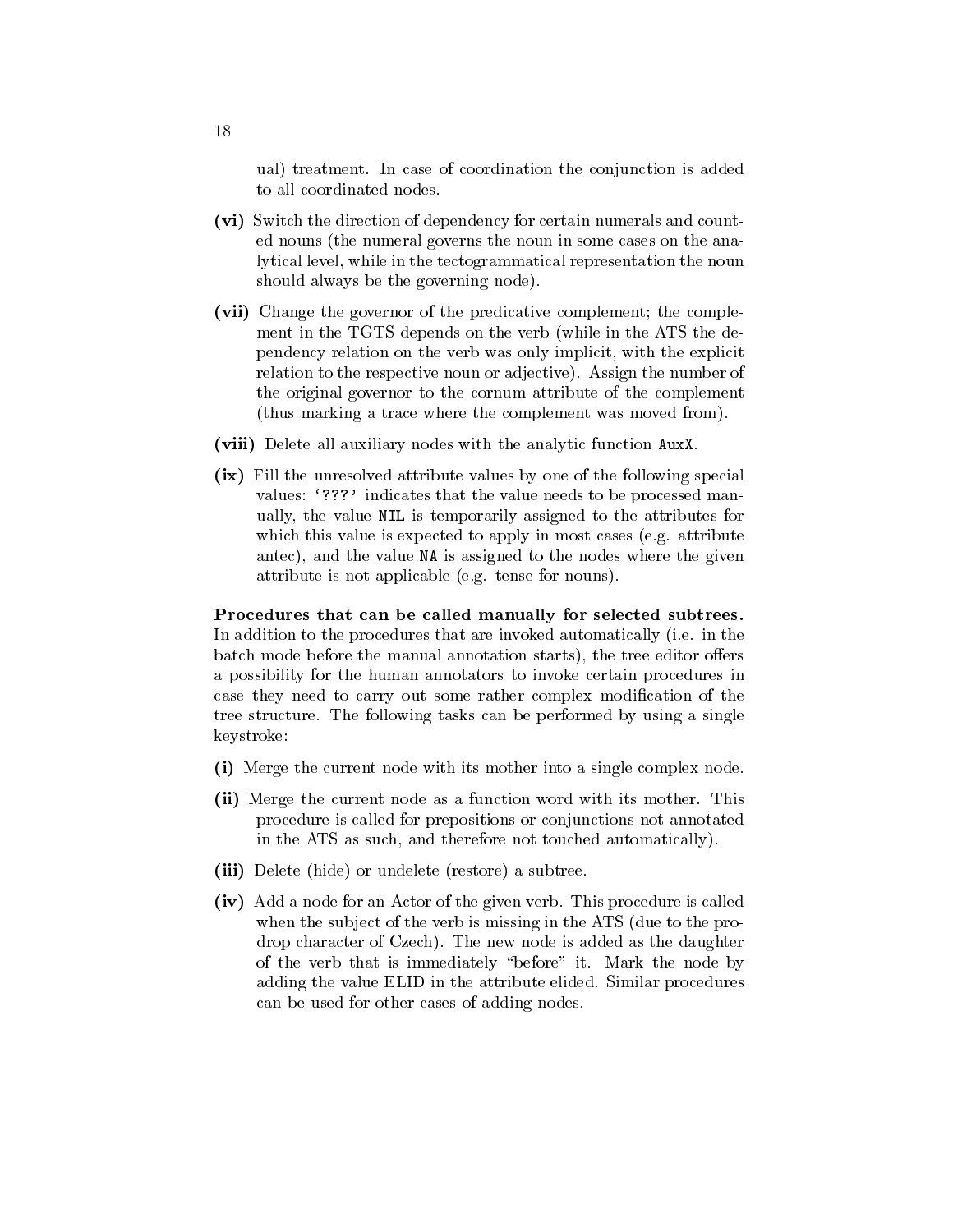ual) treatment. In case of coordination the conjunction is added to all coordinated nodes.

- (vi) Switch the direction of dependency for certain numerals and counted nouns (the numeral governs the noun in some cases on the analytical level, while in the tectogrammatical representation the noun should always be the governing node).
- (vii) Change the governor of the predicative complement; the complement in the TGTS depends on the verb (while in the ATS the dependency relation on the verb was only implicit, with the explicit relation to the respective noun or adjective). Assign the number of the original governor to the cornum attribute of the complement (thus marking a trace where the complement was moved from).
- (viii) Delete all auxiliary nodes with the analytic function AuxX.
- (ix) Fill the unresolved attribute values by one of the following special values: '???' indicates that the value needs to be processed manually, the value NIL is temporarily assigned to the attributes for which this value is expected to apply in most cases (e.g. attribute antec), and the value NA is assigned to the nodes where the given attribute is not applicable (e.g. tense for nouns).

Procedures that can be called manually for selected subtrees. In addition to the procedures that are invoked automatically (i.e. in the batch mode before the manual annotation starts), the tree editor offers a possibility for the human annotators to invoke certain procedures in case they need to carry out some rather complex modication of the tree structure. The following tasks can be performed by using a single keystroke:

- (i) Merge the current node with its mother into a single complex node.
- (ii) Merge the current node as a function word with its mother. This procedure is called for prepositions or conjunctions not annotated in the ATS as such, and therefore not touched automatically).
- (iii) Delete (hide) or undelete (restore) a subtree.
- (iv) Add a node for an Actor of the given verb. This procedure is called when the subject of the verb is missing in the ATS (due to the prodrop character of Czech). The new node is added as the daughter of the verb that is immediately \before" it. Mark the node by adding the value ELID in the attribute elided. Similar procedures can be used for other cases of adding nodes.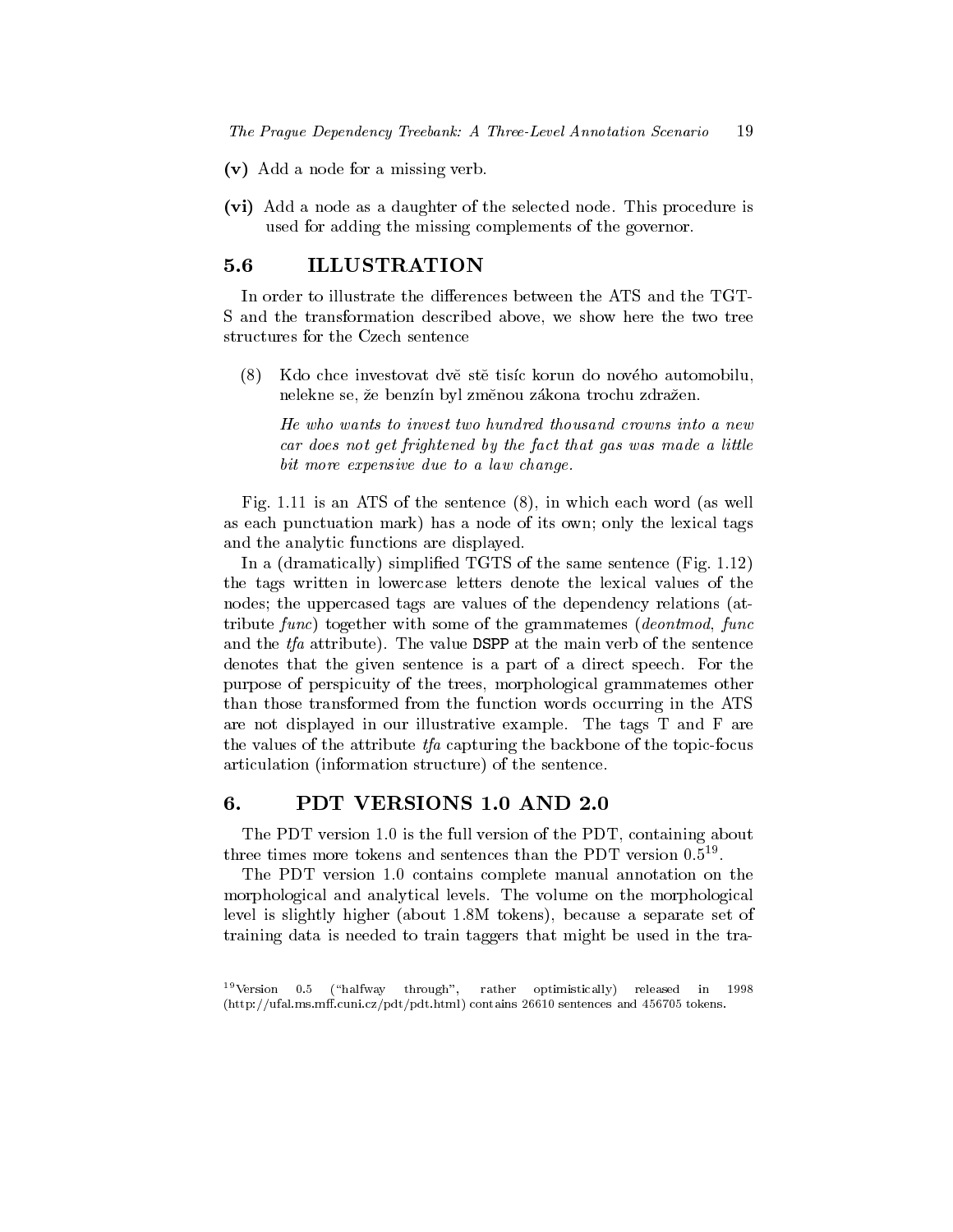- (v) Add a node for a missing verb.
- (vi) Add a node as a daughter of the selected node. This procedure is used for adding the missing complements of the governor.

### 5.6 ILLUSTRATION

In order to illustrate the differences between the ATS and the TGT-S and the transformation described above, we show here the two tree structures for the Czech sentence

(8) Kdo chce investovat dvě stě tisíc korun do nového automobilu, nelekne se, že benzín byl změnou zákona trochu zdražen.

He who wants to invest two hundred thousand crowns into a new car does not get frightened by the fact that gas was made a little bit more expensive due to a law change.

Fig. 1.11 is an ATS of the sentence (8), in which each word (as well as each punctuation mark) has a node of its own; only the lexical tags and the analytic functions are displayed.

In a (dramatically) simplified TGTS of the same sentence (Fig. 1.12) the tags written in lowercase letters denote the lexical values of the nodes; the uppercased tags are values of the dependency relations (attribute func) together with some of the grammatemes (*deontmod, func* and the tfa attribute). The value DSPP at the main verb of the sentence denotes that the given sentence is a part of a direct speech. For the purpose of perspicuity of the trees, morphological grammatemes other than those transformed from the function words occurring in the ATS are not displayed in our illustrative example. The tags T and F are the values of the attribute tfa capturing the backbone of the topic-focus articulation (information structure) of the sentence.

### 6. PDT VERSIONS 1.0 AND 2.0

The PDT version 1.0 is the full version of the PDT, containing about three times more tokens and sentences than the PDT version 0.519 .

The PDT version 1.0 contains complete manual annotation on the morphological and analytical levels. The volume on the morphological level is slightly higher (about 1.8M tokens), because a separate set of training data is needed to train taggers that might be used in the tra-

<sup>19</sup>Version 0.5 ("halfway through", rather optimistically) released in 1998  $(\text{http://ufal.ms.mff.cuni.cz/pdf/pdf.html})$  contains 26610 sentences and 456705 tokens.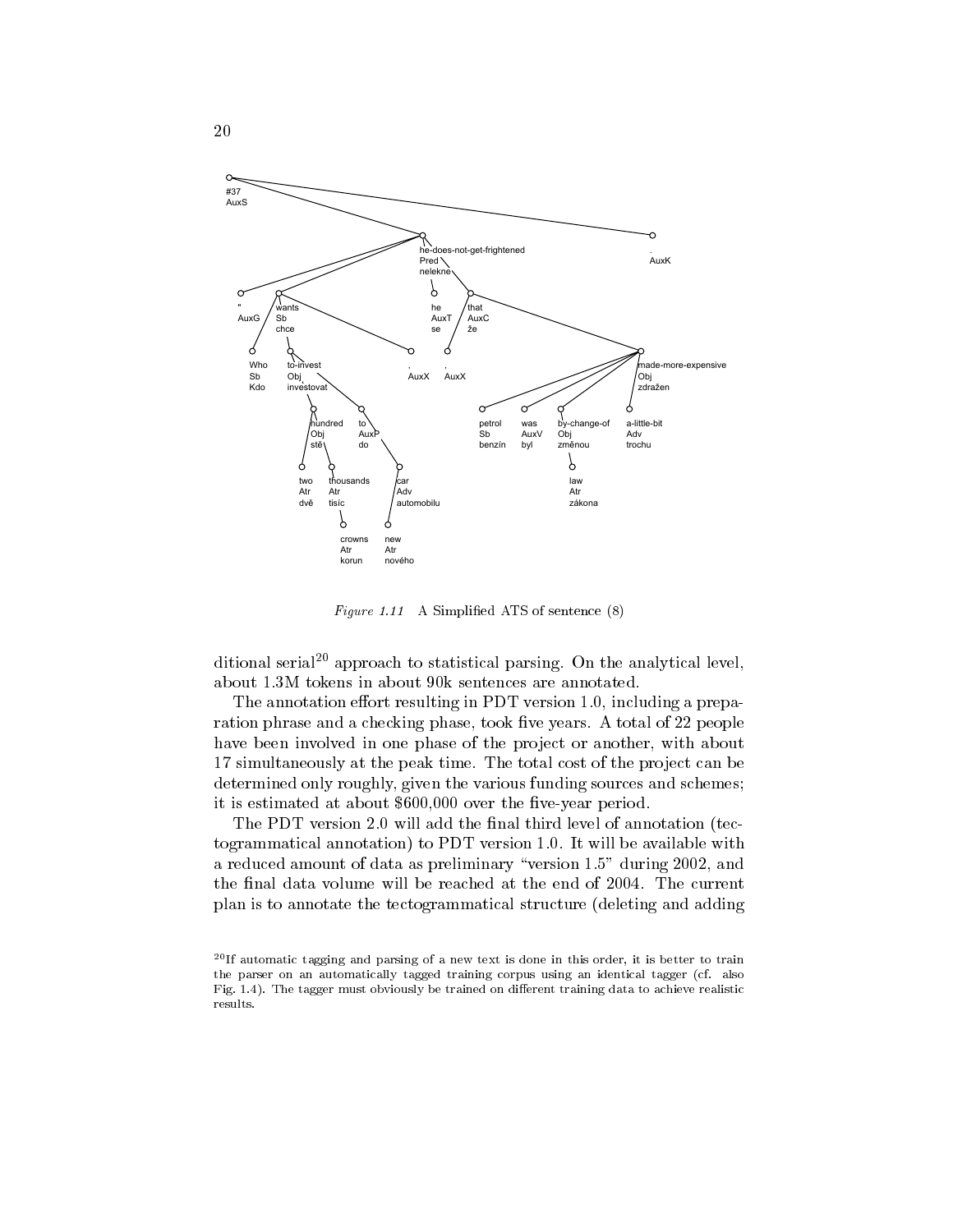

Figure 1.11 A Simplified ATS of sentence  $(8)$ 

ditional serial<sup>20</sup> approach to statistical parsing. On the analytical level, about 1.3M tokens in about 90k sentences are annotated.

The annotation effort resulting in PDT version 1.0, including a preparation phrase and a checking phase, took five years. A total of 22 people have been involved in one phase of the project or another, with about 17 simultaneously at the peak time. The total cost of the project can be determined only roughly, given the various funding sources and schemes; it is estimated at about \$600,000 over the five-year period.

The PDT version 2.0 will add the final third level of annotation (tectogrammatical annotation) to PDT version 1.0. It will be available with a reduced amount of data as preliminary "version 1.5" during 2002, and the final data volume will be reached at the end of 2004. The current plan is to annotate the tectogrammatical structure (deleting and adding

 $^{20}$ If automatic tagging and parsing of a new text is done in this order, it is better to train the parser on an automatically tagged training corpus using an identical tagger (cf. also Fig. 1.4). The tagger must obviously be trained on different training data to achieve realistic results.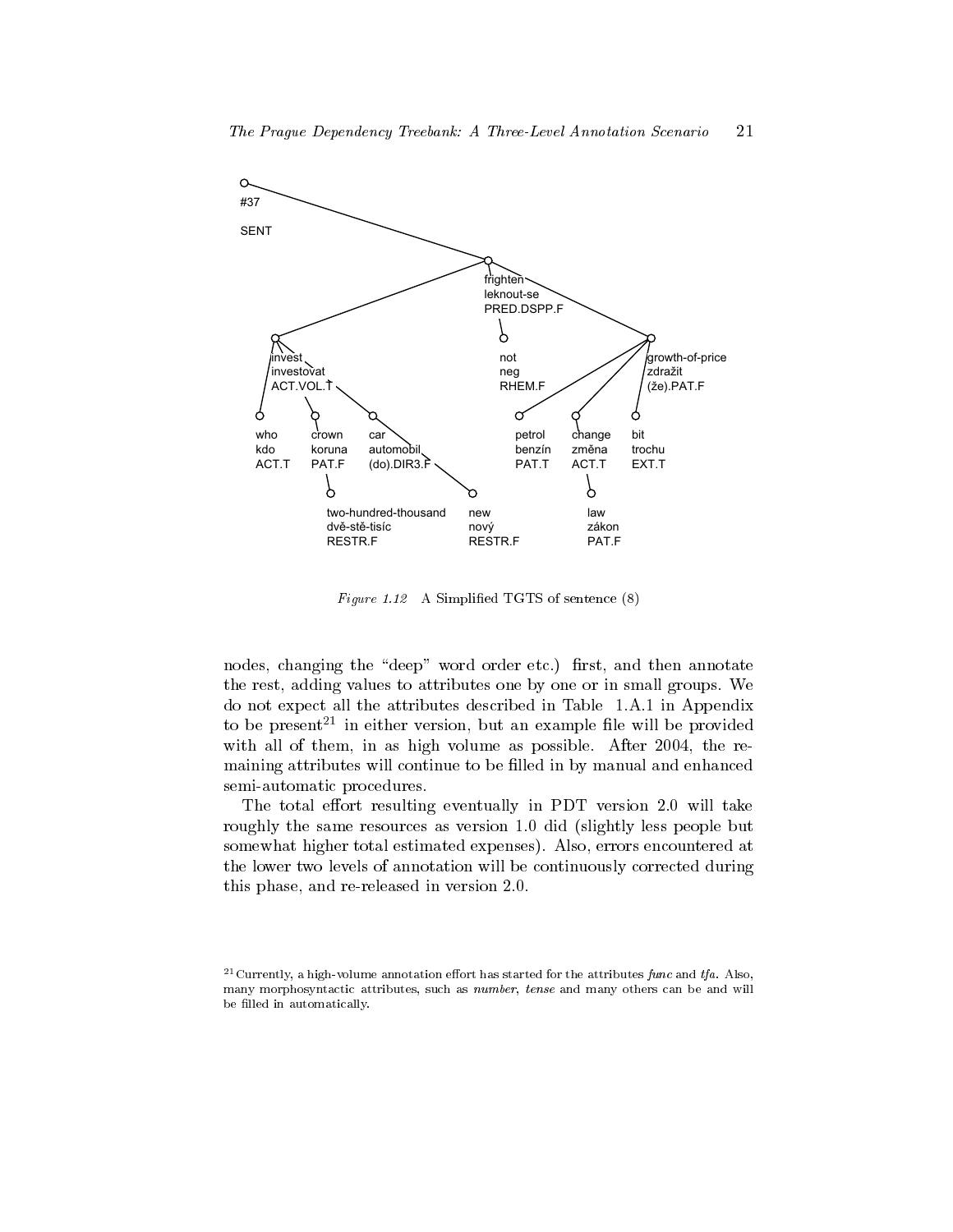

*Figure 1.12* A Simplified TGTS of sentence (8)

nodes, changing the "deep" word order etc.) first, and then annotate the rest, adding values to attributes one by one or in small groups. We do not expect all the attributes described in Table 1.A.1 in Appendix to be present<sup>21</sup> in either version, but an example file will be provided with all of them, in as high volume as possible. After 2004, the remaining attributes will continue to be filled in by manual and enhanced semi-automatic procedures.

The total effort resulting eventually in PDT version 2.0 will take roughly the same resources as version 1.0 did (slightly less people but somewhat higher total estimated expenses). Also, errors encountered at the lower two levels of annotation will be continuously corrected during this phase, and re-released in version 2.0.

<sup>&</sup>lt;sup>21</sup> Currently, a high-volume annotation effort has started for the attributes func and tfa. Also, many morphosyntactic attributes, such as *number*, tense and many others can be and will be filled in automatically.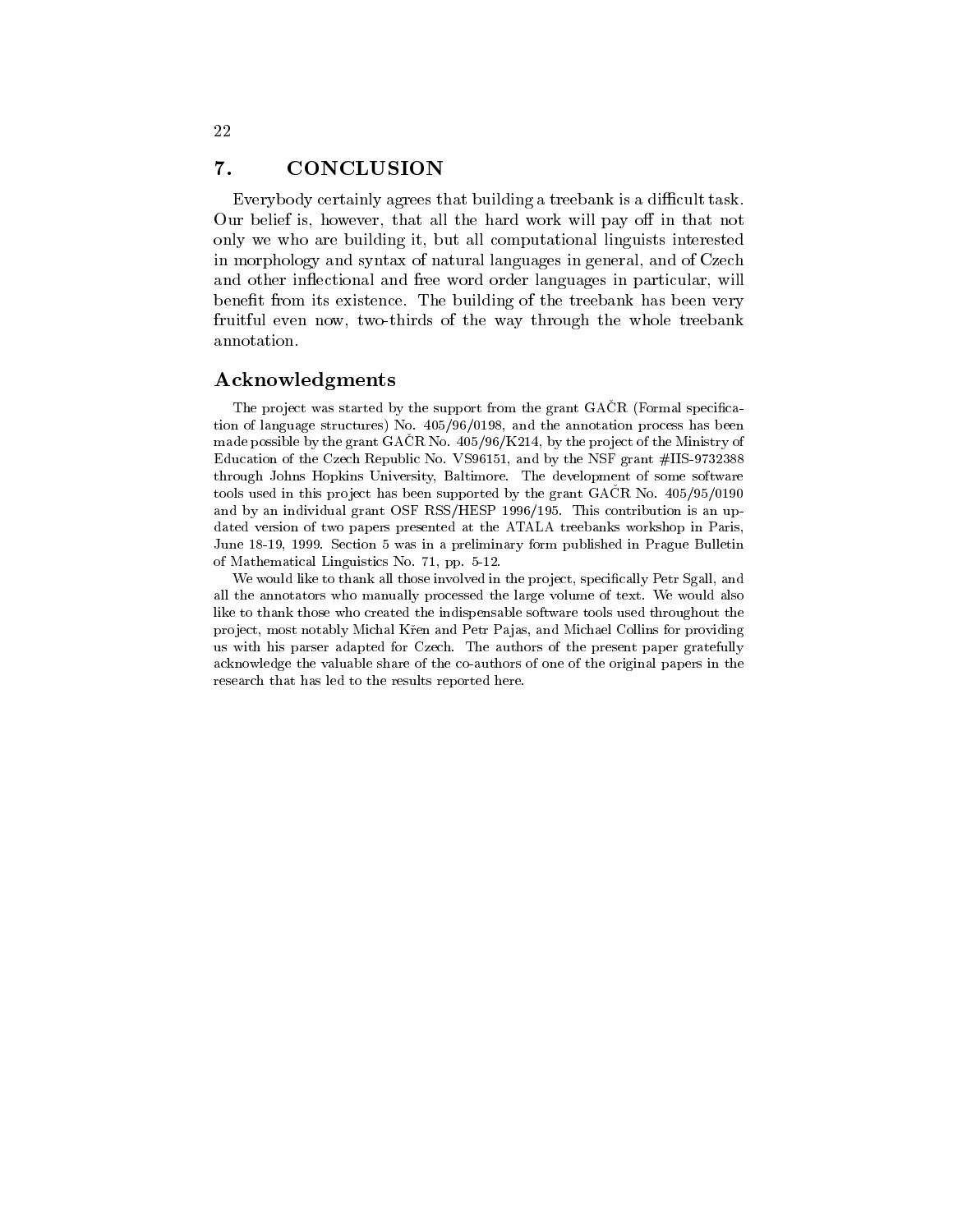#### 7. CONCLUSION

Everybody certainly agrees that building a treebank is a difficult task. Our belief is, however, that all the hard work will pay off in that not only we who are building it, but all computational linguists interested in morphology and syntax of natural languages in general, and of Czech and other inflectional and free word order languages in particular, will benefit from its existence. The building of the treebank has been very fruitful even now, two-thirds of the way through the whole treebank annotation.

## Acknowledgments

The project was started by the support from the grant GAČR (Formal specification of language structures) No. 405/96/0198, and the annotation process has been made possible by the grant GACR No.  $405/96$ /K214, by the project of the Ministry of Education of the Czech Republic No. VS96151, and by the NSF grant #IIS-9732388 through Johns Hopkins University, Baltimore. The development of some software tools used in this project has been supported by the grain GACR No.  $400/95/0130$ and by an individual grant OSF RSS/HESP 1996/195. This contribution is an updated version of two papers presented at the ATALA treebanks workshop in Paris, June 18-19, 1999. Section 5 was in a preliminary form published in Prague Bulletin of Mathematical Linguistics No. 71, pp. 5-12.

We would like to thank all those involved in the project, specifically Petr Sgall, and all the annotators who manually processed the large volume of text. We would also like to thank those who created the indispensable software tools used throughout the pro ject, most notably Michal Kren and Petr Pa jas, and Michael Collins for providing us with his parser adapted for Czech. The authors of the present paper gratefully acknowledge the valuable share of the co-authors of one of the original papers in the research that has led to the results reported here.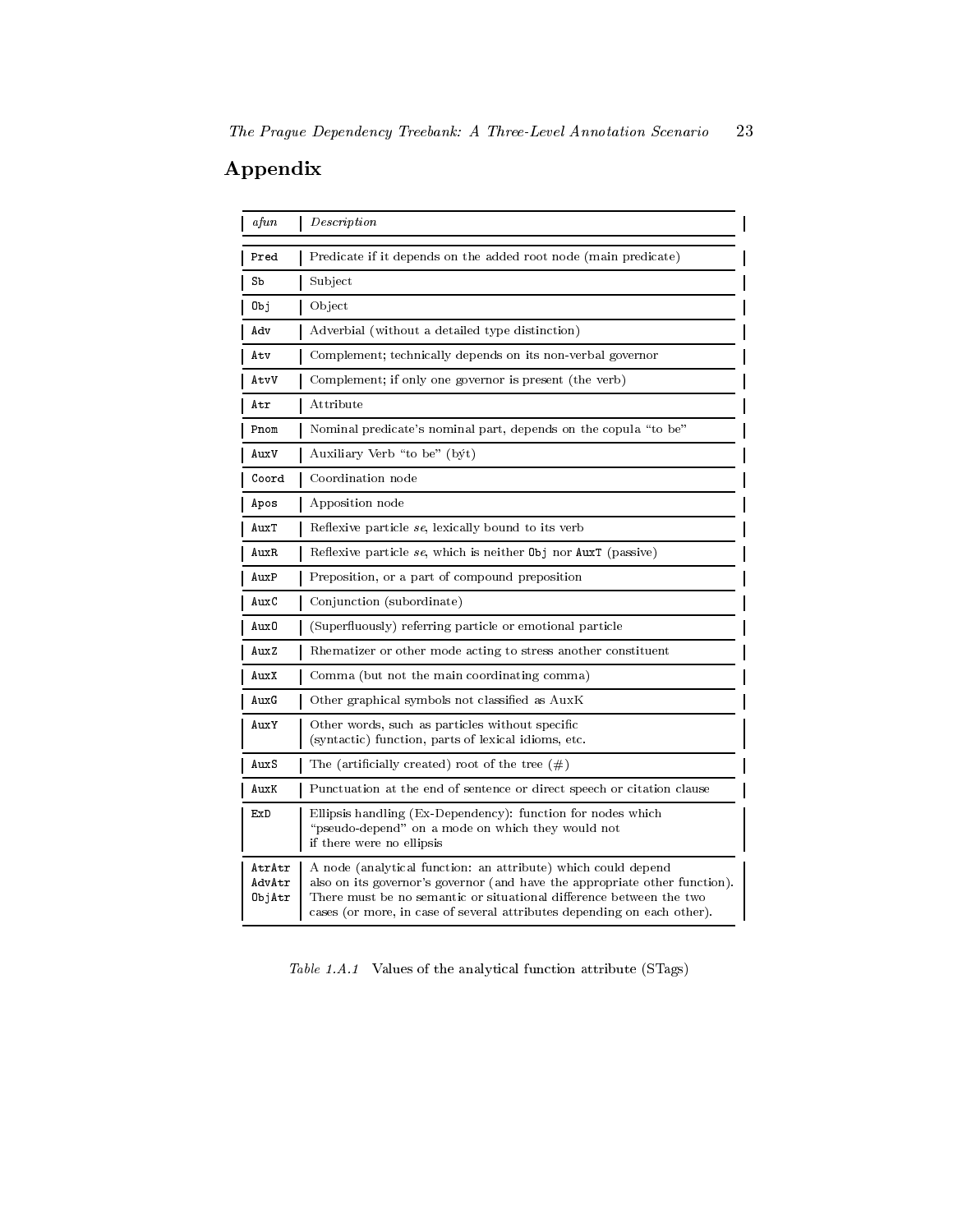# Appendix

| afun                       | Description                                                                                                                                                                                                                                                                                   |  |
|----------------------------|-----------------------------------------------------------------------------------------------------------------------------------------------------------------------------------------------------------------------------------------------------------------------------------------------|--|
| Pred                       | Predicate if it depends on the added root node (main predicate)                                                                                                                                                                                                                               |  |
| Sb                         | Subject                                                                                                                                                                                                                                                                                       |  |
| Obj                        | Object                                                                                                                                                                                                                                                                                        |  |
| Adv                        | Adverbial (without a detailed type distinction)                                                                                                                                                                                                                                               |  |
| Atv                        | Complement; technically depends on its non-verbal governor                                                                                                                                                                                                                                    |  |
| AtvV                       | Complement; if only one governor is present (the verb)                                                                                                                                                                                                                                        |  |
| Atr                        | Attribute                                                                                                                                                                                                                                                                                     |  |
| Pnom                       | Nominal predicate's nominal part, depends on the copula "to be"                                                                                                                                                                                                                               |  |
| AuxV                       | Auxiliary Verb "to be" (být)                                                                                                                                                                                                                                                                  |  |
| Coord                      | Coordination node                                                                                                                                                                                                                                                                             |  |
| Apos                       | Apposition node                                                                                                                                                                                                                                                                               |  |
| AuxT                       | Reflexive particle se, lexically bound to its verb                                                                                                                                                                                                                                            |  |
| AuxR                       | Reflexive particle se, which is neither Obj nor AuxT (passive)                                                                                                                                                                                                                                |  |
| AuxP                       | Preposition, or a part of compound preposition                                                                                                                                                                                                                                                |  |
| AuxC                       | Conjunction (subordinate)                                                                                                                                                                                                                                                                     |  |
| AuxO                       | (Superfluously) referring particle or emotional particle                                                                                                                                                                                                                                      |  |
| AuxZ                       | Rhematizer or other mode acting to stress another constituent                                                                                                                                                                                                                                 |  |
| AuxX                       | Comma (but not the main coordinating comma)                                                                                                                                                                                                                                                   |  |
| AuxG                       | Other graphical symbols not classified as AuxK                                                                                                                                                                                                                                                |  |
| AuxY                       | Other words, such as particles without specific<br>(syntactic) function, parts of lexical idioms, etc.                                                                                                                                                                                        |  |
| AuxS                       | The (artificially created) root of the tree $(\#)$                                                                                                                                                                                                                                            |  |
| AuxK                       | Punctuation at the end of sentence or direct speech or citation clause                                                                                                                                                                                                                        |  |
| ExD                        | Ellipsis handling (Ex-Dependency): function for nodes which<br>"pseudo-depend" on a mode on which they would not<br>if there were no ellipsis                                                                                                                                                 |  |
| AtrAtr<br>AdvAtr<br>ObjAtr | A node (analytical function: an attribute) which could depend<br>also on its governor's governor (and have the appropriate other function).<br>There must be no semantic or situational difference between the two<br>cases (or more, in case of several attributes depending on each other). |  |

Table 1.A.1 Values of the analytical function attribute (STags)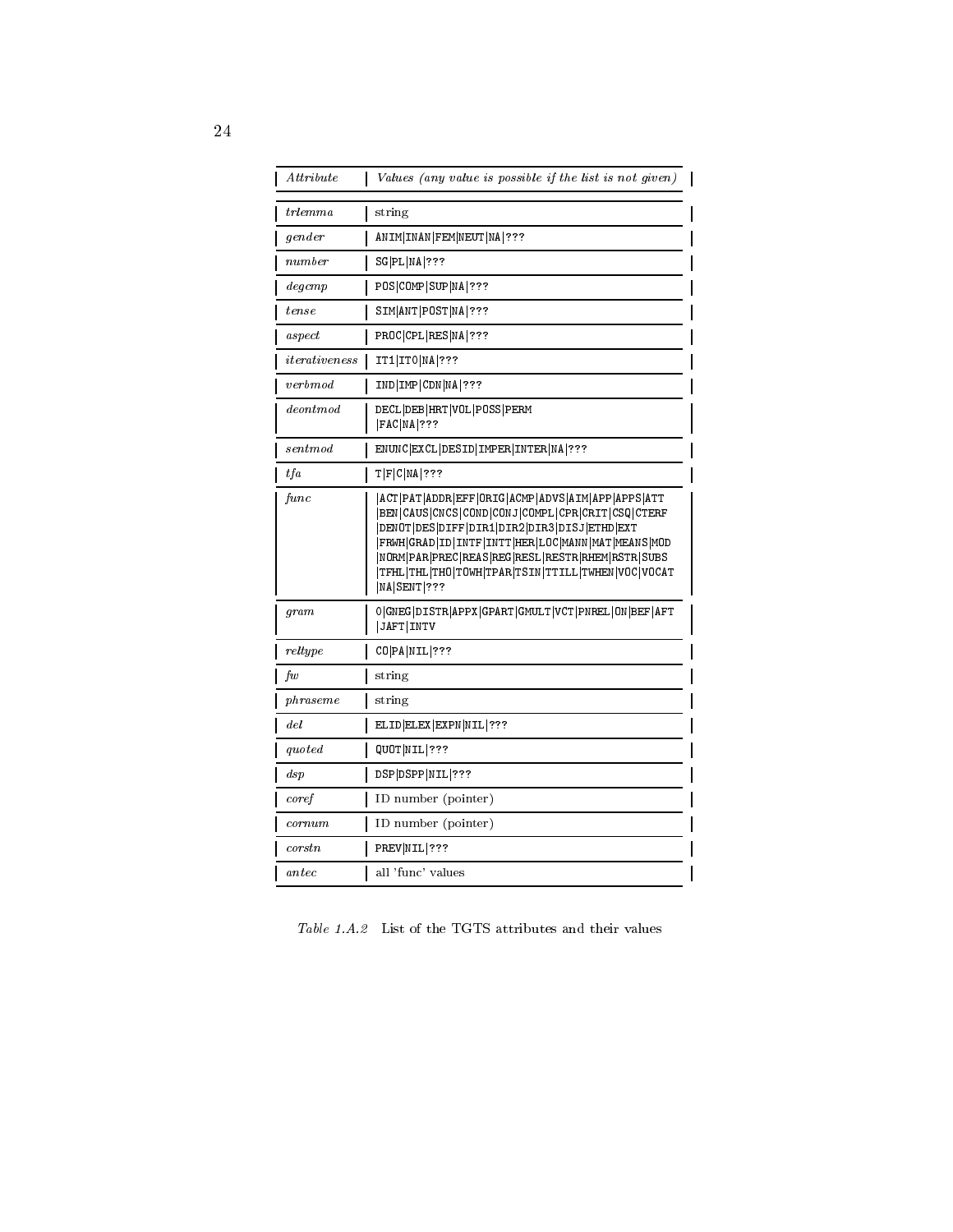| Attribute       | Values (any value is possible if the list is not given)                                                                                                                                                                                                                                                                        |
|-----------------|--------------------------------------------------------------------------------------------------------------------------------------------------------------------------------------------------------------------------------------------------------------------------------------------------------------------------------|
| trlemma         | string                                                                                                                                                                                                                                                                                                                         |
| qender          | ANIMINANFEMNEUTNA ???                                                                                                                                                                                                                                                                                                          |
| number          | $SG PL NA $ ???                                                                                                                                                                                                                                                                                                                |
| degreemp        | POSCOMPSUPNA ???                                                                                                                                                                                                                                                                                                               |
| $_{tense}$      | SIM ANT POST NA ???                                                                                                                                                                                                                                                                                                            |
| $\emph{aspect}$ | PROCCPLRESNA???                                                                                                                                                                                                                                                                                                                |
| iterativeness   | IT1 IT0 NA ???                                                                                                                                                                                                                                                                                                                 |
| verbmod         | IND IMPCDNNA ???                                                                                                                                                                                                                                                                                                               |
| $deon \,tmod$   | DECL DEB HRT VOL POSS PERM<br>$ FAC NA ?$ ??                                                                                                                                                                                                                                                                                   |
| $_{sentmod}$    | ENUNC EXCL DESID IMPER INTER NA ???                                                                                                                                                                                                                                                                                            |
| $_{tfa}$        | T F C NA ???                                                                                                                                                                                                                                                                                                                   |
| func            | ACT PAT ADDREFF ORIGACMP ADVS AIM APP APPS ATT<br> BEN CAUS CNCS COND CONJ COMPL CPR CRIT CSQ CTERF<br> DENOT DES DIFF DIR1 DIR2 DIR3 DISJ ETHD EXT<br> FRWH GRAD ID INTF INTT HER LOC MANN MAT MEANS MOD<br>NORM PAR PRECREAS REGRESL RESTR RHEM RSTR SUBS<br>TFHL THL THO TOWH TPAR TSIN TTILL TWHEN VOC VOCAT<br>NASENT ??? |
| gram            | 0   GNEG   DISTR   APPX   GPART   GMULT   VCT   PNREL   ON   BEF   AFT<br>JAFT INTV                                                                                                                                                                                                                                            |
| reltype         | CO PANIL ???                                                                                                                                                                                                                                                                                                                   |
| fw              | string                                                                                                                                                                                                                                                                                                                         |
| phraseme        | string                                                                                                                                                                                                                                                                                                                         |
| del             | ELID ELEX EXPN NIL ???                                                                                                                                                                                                                                                                                                         |
| quo ted         | QUOT NIL ???                                                                                                                                                                                                                                                                                                                   |
| $_{dsp}$        | DSPDSPPNIL ???                                                                                                                                                                                                                                                                                                                 |
| coref           | ID number (pointer)                                                                                                                                                                                                                                                                                                            |
| $_{cornum}$     | ID number (pointer)                                                                                                                                                                                                                                                                                                            |
| $\it{corstn}$   | PREV NIL ???                                                                                                                                                                                                                                                                                                                   |
| $\it antec$     | all 'func' values                                                                                                                                                                                                                                                                                                              |

Table 1.A.2 List of the TGTS attributes and their values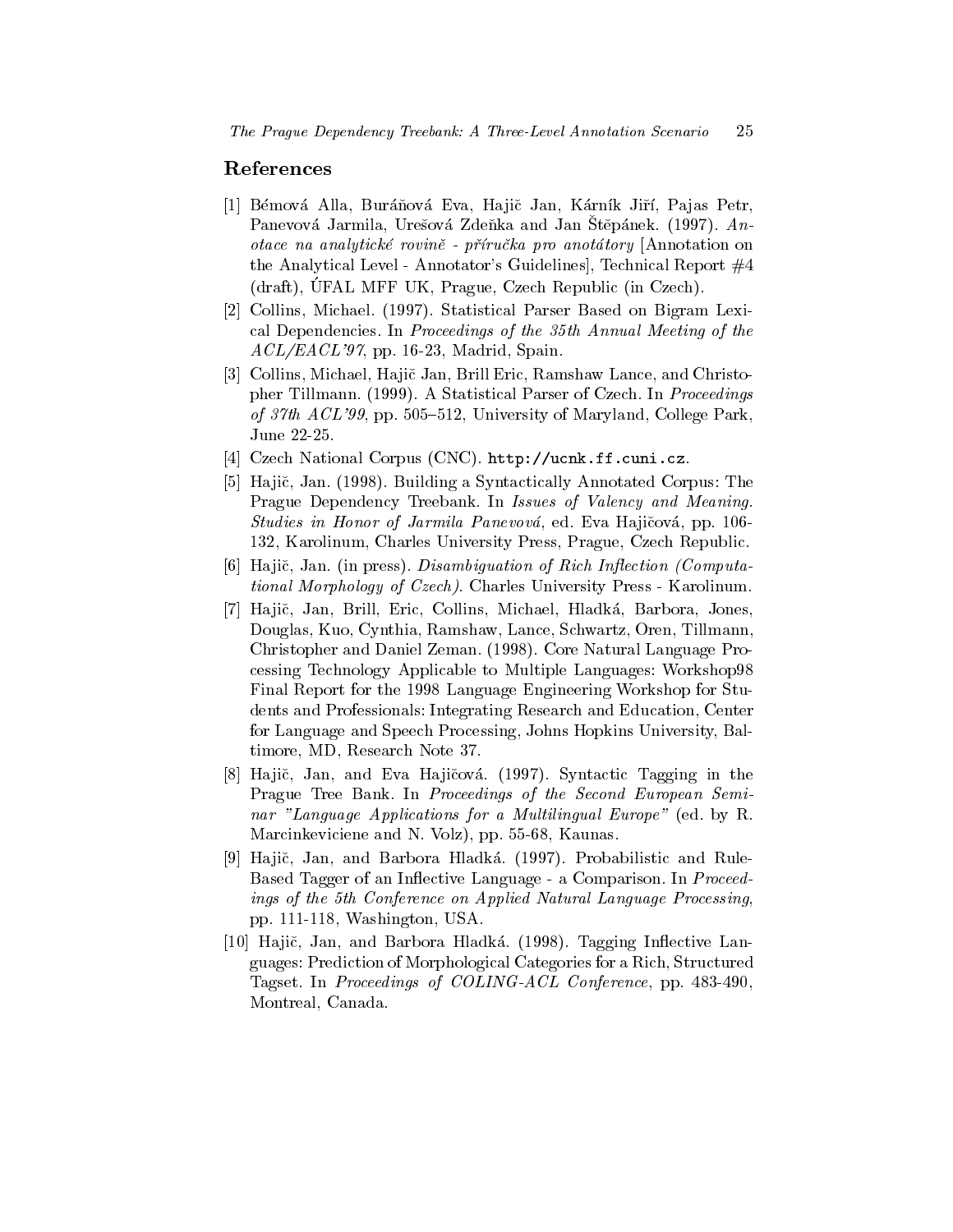### References

- [1] Bémová Alla, Buráňová Eva, Hajič Jan, Kárník Jiří, Pajas Petr, Panevova Jarmila, Uresova Zdenka and Jan St epanek. (1997). Anotace na analytické rovině - příručka pro anotátory [Annotation on the Analytical Level - Annotator's Guidelines], Technical Report #4 (draft), UFAL MFF UK, Prague, Czech Republic (in Czech).
- [2] Collins, Michael. (1997). Statistical Parser Based on Bigram Lexical Dependencies. In Proceedings of the 35th Annual Meeting of the  $ACL/EACL'97$ , pp. 16-23, Madrid, Spain.
- [3] Collins, Michael, Hajič Jan, Brill Eric, Ramshaw Lance, and Christopher Tillmann. (1999). A Statistical Parser of Czech. In Proceedings of 37th  $ACL'99$ , pp. 505-512, University of Maryland, College Park, June 22-25.
- [4] Czech National Corpus (CNC). http://ucnk.ff.cuni.cz.
- [5] Hajič, Jan. (1998). Building a Syntactically Annotated Corpus: The Prague Dependency Treebank. In Issues of Valency and Meaning. Studies in Honor of Jarmila Panevová, ed. Eva Hajičová, pp. 106-132, Karolinum, Charles University Press, Prague, Czech Republic.
- [6] Hajič, Jan. (in press). *Disambiguation of Rich Inflection (Computa*tional Morphology of Czech). Charles University Press - Karolinum.
- [7] Hajič, Jan, Brill, Eric, Collins, Michael, Hladká, Barbora, Jones, Douglas, Kuo, Cynthia, Ramshaw, Lance, Schwartz, Oren, Tillmann, Christopher and Daniel Zeman. (1998). Core Natural Language Processing Technology Applicable to Multiple Languages: Workshop98 Final Report for the 1998 Language Engineering Workshop for Students and Professionals: Integrating Research and Education, Center for Language and Speech Processing, Johns Hopkins University, Baltimore, MD, Research Note 37.
- [8] Hajič, Jan, and Eva Hajičová. (1997). Syntactic Tagging in the Prague Tree Bank. In Proceedings of the Second European Seminar "Language Applications for a Multilingual Europe" (ed. by R. Marcinkeviciene and N. Volz), pp. 55-68, Kaunas.
- [9] Ha jic, Jan, and Barbora Hladka. (1997). Probabilistic and Rule-Based Tagger of an Inflective Language - a Comparison. In *Proceed*ings of the 5th Conference on Applied Natural Language Processing, pp. 111-118, Washington, USA.
- [10] Hajič, Jan, and Barbora Hladká. (1998). Tagging Inflective Languages: Prediction of Morphological Categories for a Rich, Structured Tagset. In Proceedings of COLING-ACL Conference, pp. 483-490, Montreal, Canada.